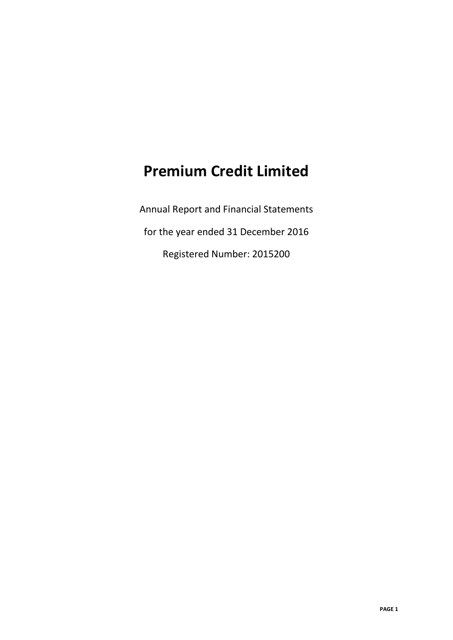# **Premium Credit Limited**

Annual Report and Financial Statements

for the year ended 31 December 2016

Registered Number: 2015200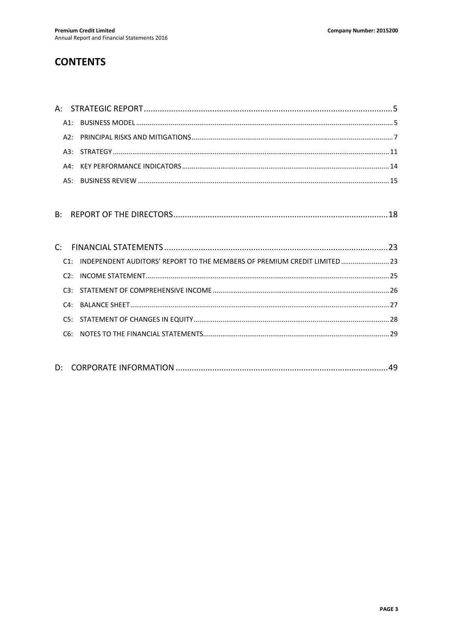## **CONTENTS**

| C1: INDEPENDENT AUDITORS' REPORT TO THE MEMBERS OF PREMIUM CREDIT LIMITED  23 |  |
|-------------------------------------------------------------------------------|--|
|                                                                               |  |
|                                                                               |  |
|                                                                               |  |
|                                                                               |  |
|                                                                               |  |
|                                                                               |  |

|--|--|--|--|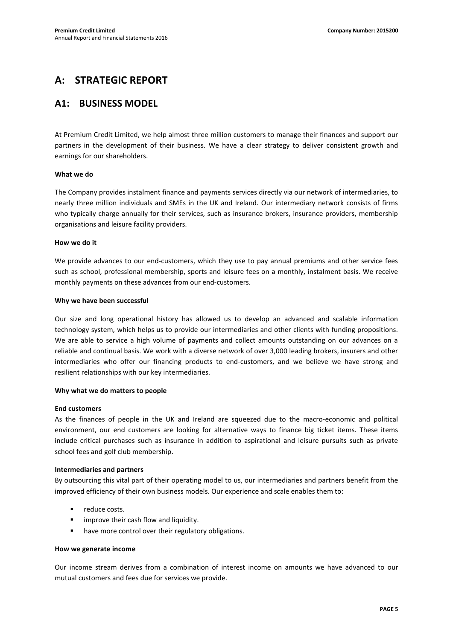## <span id="page-4-0"></span>**A: STRATEGIC REPORT**

## <span id="page-4-1"></span>**A1: BUSINESS MODEL**

At Premium Credit Limited, we help almost three million customers to manage their finances and support our partners in the development of their business. We have a clear strategy to deliver consistent growth and earnings for our shareholders.

#### **What we do**

The Company provides instalment finance and payments services directly via our network of intermediaries, to nearly three million individuals and SMEs in the UK and Ireland. Our intermediary network consists of firms who typically charge annually for their services, such as insurance brokers, insurance providers, membership organisations and leisure facility providers.

#### **How we do it**

We provide advances to our end-customers, which they use to pay annual premiums and other service fees such as school, professional membership, sports and leisure fees on a monthly, instalment basis. We receive monthly payments on these advances from our end-customers.

#### **Why we have been successful**

Our size and long operational history has allowed us to develop an advanced and scalable information technology system, which helps us to provide our intermediaries and other clients with funding propositions. We are able to service a high volume of payments and collect amounts outstanding on our advances on a reliable and continual basis. We work with a diverse network of over 3,000 leading brokers, insurers and other intermediaries who offer our financing products to end-customers, and we believe we have strong and resilient relationships with our key intermediaries.

#### **Why what we do matters to people**

#### **End customers**

As the finances of people in the UK and Ireland are squeezed due to the macro-economic and political environment, our end customers are looking for alternative ways to finance big ticket items. These items include critical purchases such as insurance in addition to aspirational and leisure pursuits such as private school fees and golf club membership.

#### **Intermediaries and partners**

By outsourcing this vital part of their operating model to us, our intermediaries and partners benefit from the improved efficiency of their own business models. Our experience and scale enables them to:

- reduce costs.
- **F** improve their cash flow and liquidity.
- **•** have more control over their regulatory obligations.

#### **How we generate income**

Our income stream derives from a combination of interest income on amounts we have advanced to our mutual customers and fees due for services we provide.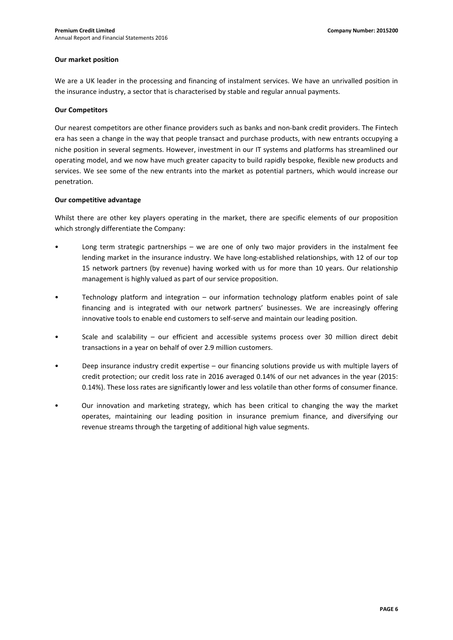#### **Our market position**

We are a UK leader in the processing and financing of instalment services. We have an unrivalled position in the insurance industry, a sector that is characterised by stable and regular annual payments.

#### **Our Competitors**

Our nearest competitors are other finance providers such as banks and non-bank credit providers. The Fintech era has seen a change in the way that people transact and purchase products, with new entrants occupying a niche position in several segments. However, investment in our IT systems and platforms has streamlined our operating model, and we now have much greater capacity to build rapidly bespoke, flexible new products and services. We see some of the new entrants into the market as potential partners, which would increase our penetration.

#### **Our competitive advantage**

Whilst there are other key players operating in the market, there are specific elements of our proposition which strongly differentiate the Company:

- Long term strategic partnerships we are one of only two major providers in the instalment fee lending market in the insurance industry. We have long-established relationships, with 12 of our top 15 network partners (by revenue) having worked with us for more than 10 years. Our relationship management is highly valued as part of our service proposition.
- Technology platform and integration our information technology platform enables point of sale financing and is integrated with our network partners' businesses. We are increasingly offering innovative tools to enable end customers to self-serve and maintain our leading position.
- Scale and scalability our efficient and accessible systems process over 30 million direct debit transactions in a year on behalf of over 2.9 million customers.
- Deep insurance industry credit expertise our financing solutions provide us with multiple layers of credit protection; our credit loss rate in 2016 averaged 0.14% of our net advances in the year (2015: 0.14%). These loss rates are significantly lower and less volatile than other forms of consumer finance.
- <span id="page-5-0"></span>• Our innovation and marketing strategy, which has been critical to changing the way the market operates, maintaining our leading position in insurance premium finance, and diversifying our revenue streams through the targeting of additional high value segments.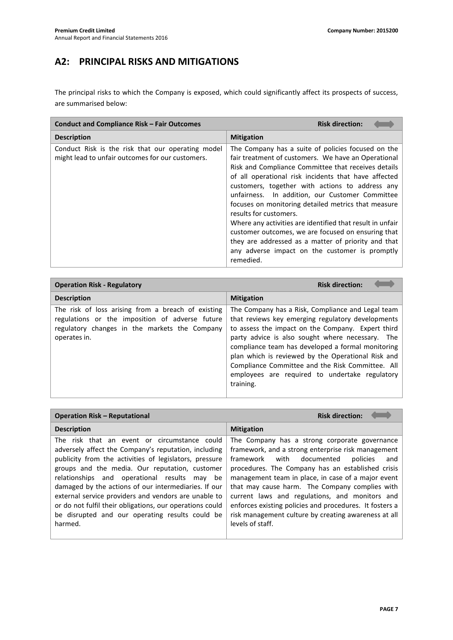## **A2: PRINCIPAL RISKS AND MITIGATIONS**

The principal risks to which the Company is exposed, which could significantly affect its prospects of success, are summarised below:

| <b>Conduct and Compliance Risk - Fair Outcomes</b>                                                    | <b>Risk direction:</b>                                                                                                                                                                                                                                                                                                                                                                                                                                                                                                                                                                                                                                   |
|-------------------------------------------------------------------------------------------------------|----------------------------------------------------------------------------------------------------------------------------------------------------------------------------------------------------------------------------------------------------------------------------------------------------------------------------------------------------------------------------------------------------------------------------------------------------------------------------------------------------------------------------------------------------------------------------------------------------------------------------------------------------------|
| <b>Description</b>                                                                                    | <b>Mitigation</b>                                                                                                                                                                                                                                                                                                                                                                                                                                                                                                                                                                                                                                        |
| Conduct Risk is the risk that our operating model<br>might lead to unfair outcomes for our customers. | The Company has a suite of policies focused on the<br>fair treatment of customers. We have an Operational<br>Risk and Compliance Committee that receives details<br>of all operational risk incidents that have affected<br>customers, together with actions to address any<br>unfairness. In addition, our Customer Committee<br>focuses on monitoring detailed metrics that measure<br>results for customers.<br>Where any activities are identified that result in unfair<br>customer outcomes, we are focused on ensuring that<br>they are addressed as a matter of priority and that<br>any adverse impact on the customer is promptly<br>remedied. |

| <b>Operation Risk - Regulatory</b>                                                                                                                                     | <b>Risk direction:</b>                                                                                                                                                                                                                                                                                                                                                                                                                        |
|------------------------------------------------------------------------------------------------------------------------------------------------------------------------|-----------------------------------------------------------------------------------------------------------------------------------------------------------------------------------------------------------------------------------------------------------------------------------------------------------------------------------------------------------------------------------------------------------------------------------------------|
| <b>Description</b>                                                                                                                                                     | <b>Mitigation</b>                                                                                                                                                                                                                                                                                                                                                                                                                             |
| The risk of loss arising from a breach of existing<br>regulations or the imposition of adverse future<br>regulatory changes in the markets the Company<br>operates in. | The Company has a Risk, Compliance and Legal team<br>that reviews key emerging regulatory developments<br>to assess the impact on the Company. Expert third<br>party advice is also sought where necessary. The<br>compliance team has developed a formal monitoring<br>plan which is reviewed by the Operational Risk and<br>Compliance Committee and the Risk Committee. All<br>employees are required to undertake regulatory<br>training. |

| <b>Operation Risk - Reputational</b>                                                                                                                                                                                                                                                                                                                                                                                                                                                                          | <b>Risk direction:</b>                                                                                                                                                                                                                                                                                                                                                                                                                                                                                          |  |
|---------------------------------------------------------------------------------------------------------------------------------------------------------------------------------------------------------------------------------------------------------------------------------------------------------------------------------------------------------------------------------------------------------------------------------------------------------------------------------------------------------------|-----------------------------------------------------------------------------------------------------------------------------------------------------------------------------------------------------------------------------------------------------------------------------------------------------------------------------------------------------------------------------------------------------------------------------------------------------------------------------------------------------------------|--|
| <b>Description</b>                                                                                                                                                                                                                                                                                                                                                                                                                                                                                            | <b>Mitigation</b>                                                                                                                                                                                                                                                                                                                                                                                                                                                                                               |  |
| The risk that an event or circumstance could<br>adversely affect the Company's reputation, including<br>publicity from the activities of legislators, pressure<br>groups and the media. Our reputation, customer<br>relationships and operational results<br>mav be<br>damaged by the actions of our intermediaries. If our<br>external service providers and vendors are unable to<br>or do not fulfil their obligations, our operations could<br>be disrupted and our operating results could be<br>harmed. | The Company has a strong corporate governance<br>framework, and a strong enterprise risk management<br>with<br>documented<br>framework<br>policies<br>and<br>procedures. The Company has an established crisis<br>management team in place, in case of a major event<br>that may cause harm. The Company complies with<br>current laws and regulations, and monitors and<br>enforces existing policies and procedures. It fosters a<br>risk management culture by creating awareness at all<br>levels of staff. |  |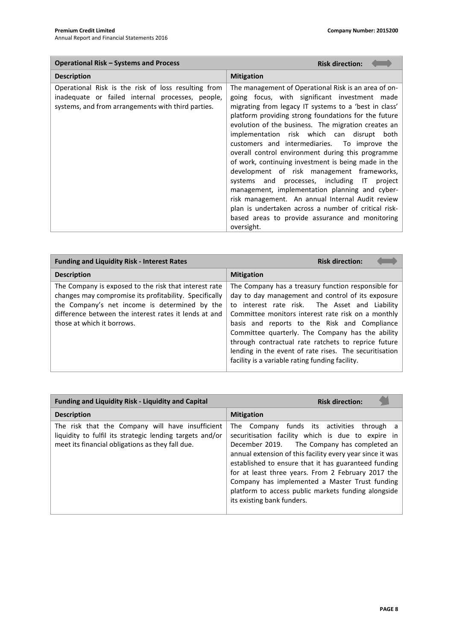| <b>Operational Risk - Systems and Process</b>                                                                                                                 | <b>Risk direction:</b>                                                                                                                                                                                                                                                                                                                                                                                                                                                                                                                                                                                                                                                                                                                                                                                                          |  |
|---------------------------------------------------------------------------------------------------------------------------------------------------------------|---------------------------------------------------------------------------------------------------------------------------------------------------------------------------------------------------------------------------------------------------------------------------------------------------------------------------------------------------------------------------------------------------------------------------------------------------------------------------------------------------------------------------------------------------------------------------------------------------------------------------------------------------------------------------------------------------------------------------------------------------------------------------------------------------------------------------------|--|
| <b>Description</b>                                                                                                                                            | <b>Mitigation</b>                                                                                                                                                                                                                                                                                                                                                                                                                                                                                                                                                                                                                                                                                                                                                                                                               |  |
| Operational Risk is the risk of loss resulting from<br>inadequate or failed internal processes, people,<br>systems, and from arrangements with third parties. | The management of Operational Risk is an area of on-<br>going focus, with significant investment made<br>migrating from legacy IT systems to a 'best in class'<br>platform providing strong foundations for the future<br>evolution of the business. The migration creates an<br>implementation risk which can disrupt<br>both<br>customers and intermediaries. To improve the<br>overall control environment during this programme<br>of work, continuing investment is being made in the<br>development of risk management frameworks,<br>processes, including<br>systems and<br>IT<br>project<br>management, implementation planning and cyber-<br>risk management. An annual Internal Audit review<br>plan is undertaken across a number of critical risk-<br>based areas to provide assurance and monitoring<br>oversight. |  |

| <b>Funding and Liquidity Risk - Interest Rates</b>                                                                                                                                                                                                      | <b>Risk direction:</b>                                                                                                                                                                                                                                                                                                                                                                                                                                                                   |
|---------------------------------------------------------------------------------------------------------------------------------------------------------------------------------------------------------------------------------------------------------|------------------------------------------------------------------------------------------------------------------------------------------------------------------------------------------------------------------------------------------------------------------------------------------------------------------------------------------------------------------------------------------------------------------------------------------------------------------------------------------|
| <b>Description</b>                                                                                                                                                                                                                                      | <b>Mitigation</b>                                                                                                                                                                                                                                                                                                                                                                                                                                                                        |
| The Company is exposed to the risk that interest rate<br>changes may compromise its profitability. Specifically<br>the Company's net income is determined by the<br>difference between the interest rates it lends at and<br>those at which it borrows. | The Company has a treasury function responsible for<br>day to day management and control of its exposure<br>to interest rate risk. The Asset and Liability<br>Committee monitors interest rate risk on a monthly<br>basis and reports to the Risk and Compliance<br>Committee quarterly. The Company has the ability<br>through contractual rate ratchets to reprice future<br>lending in the event of rate rises. The securitisation<br>facility is a variable rating funding facility. |

| <b>Funding and Liquidity Risk - Liquidity and Capital</b>                                                                                                        | <b>Risk direction:</b>                                                                                                                                                                                                                                                                                                                                                                                                                                                 |  |
|------------------------------------------------------------------------------------------------------------------------------------------------------------------|------------------------------------------------------------------------------------------------------------------------------------------------------------------------------------------------------------------------------------------------------------------------------------------------------------------------------------------------------------------------------------------------------------------------------------------------------------------------|--|
| <b>Description</b>                                                                                                                                               | <b>Mitigation</b>                                                                                                                                                                                                                                                                                                                                                                                                                                                      |  |
| The risk that the Company will have insufficient<br>liquidity to fulfil its strategic lending targets and/or<br>meet its financial obligations as they fall due. | The Company funds its activities<br>through a<br>securitisation facility which is due to expire in<br>The Company has completed an<br>December 2019.<br>annual extension of this facility every year since it was<br>established to ensure that it has guaranteed funding<br>for at least three years. From 2 February 2017 the<br>Company has implemented a Master Trust funding<br>platform to access public markets funding alongside<br>its existing bank funders. |  |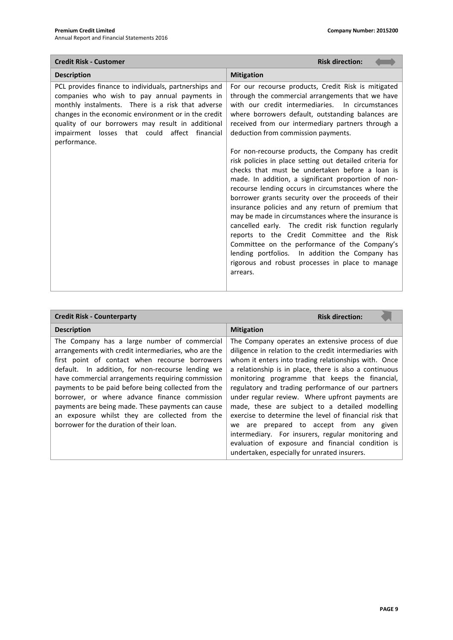| <b>Credit Risk - Customer</b>                                                                                                                                                                                                                                                                                                            | <b>Risk direction:</b>                                                                                                                                                                                                                                                                                                                                                                                                                                                                                                                                                                                                                                                                                                      |
|------------------------------------------------------------------------------------------------------------------------------------------------------------------------------------------------------------------------------------------------------------------------------------------------------------------------------------------|-----------------------------------------------------------------------------------------------------------------------------------------------------------------------------------------------------------------------------------------------------------------------------------------------------------------------------------------------------------------------------------------------------------------------------------------------------------------------------------------------------------------------------------------------------------------------------------------------------------------------------------------------------------------------------------------------------------------------------|
| <b>Description</b>                                                                                                                                                                                                                                                                                                                       | <b>Mitigation</b>                                                                                                                                                                                                                                                                                                                                                                                                                                                                                                                                                                                                                                                                                                           |
| PCL provides finance to individuals, partnerships and<br>companies who wish to pay annual payments in<br>monthly instalments. There is a risk that adverse<br>changes in the economic environment or in the credit<br>quality of our borrowers may result in additional<br>impairment losses that could affect financial<br>performance. | For our recourse products, Credit Risk is mitigated<br>through the commercial arrangements that we have<br>with our credit intermediaries. In circumstances<br>where borrowers default, outstanding balances are<br>received from our intermediary partners through a<br>deduction from commission payments.                                                                                                                                                                                                                                                                                                                                                                                                                |
|                                                                                                                                                                                                                                                                                                                                          | For non-recourse products, the Company has credit<br>risk policies in place setting out detailed criteria for<br>checks that must be undertaken before a loan is<br>made. In addition, a significant proportion of non-<br>recourse lending occurs in circumstances where the<br>borrower grants security over the proceeds of their<br>insurance policies and any return of premium that<br>may be made in circumstances where the insurance is<br>cancelled early. The credit risk function regularly<br>reports to the Credit Committee and the Risk<br>Committee on the performance of the Company's<br>lending portfolios. In addition the Company has<br>rigorous and robust processes in place to manage<br>arrears. |

| <b>Credit Risk - Counterparty</b>                                                                                                                                                                                                                                                                                                                                                                                                                                                                                           | <b>Risk direction:</b>                                                                                                                                                                                                                                                                                                                                                                                                                                                                                                                                                                                                                                                                                        |
|-----------------------------------------------------------------------------------------------------------------------------------------------------------------------------------------------------------------------------------------------------------------------------------------------------------------------------------------------------------------------------------------------------------------------------------------------------------------------------------------------------------------------------|---------------------------------------------------------------------------------------------------------------------------------------------------------------------------------------------------------------------------------------------------------------------------------------------------------------------------------------------------------------------------------------------------------------------------------------------------------------------------------------------------------------------------------------------------------------------------------------------------------------------------------------------------------------------------------------------------------------|
| <b>Description</b>                                                                                                                                                                                                                                                                                                                                                                                                                                                                                                          | <b>Mitigation</b>                                                                                                                                                                                                                                                                                                                                                                                                                                                                                                                                                                                                                                                                                             |
| The Company has a large number of commercial<br>arrangements with credit intermediaries, who are the<br>first point of contact when recourse borrowers<br>default. In addition, for non-recourse lending we<br>have commercial arrangements requiring commission<br>payments to be paid before being collected from the<br>borrower, or where advance finance commission<br>payments are being made. These payments can cause<br>an exposure whilst they are collected from the<br>borrower for the duration of their loan. | The Company operates an extensive process of due<br>diligence in relation to the credit intermediaries with<br>whom it enters into trading relationships with. Once<br>a relationship is in place, there is also a continuous<br>monitoring programme that keeps the financial,<br>regulatory and trading performance of our partners<br>under regular review. Where upfront payments are<br>made, these are subject to a detailed modelling<br>exercise to determine the level of financial risk that<br>we are prepared to accept from any given<br>intermediary. For insurers, regular monitoring and<br>evaluation of exposure and financial condition is<br>undertaken, especially for unrated insurers. |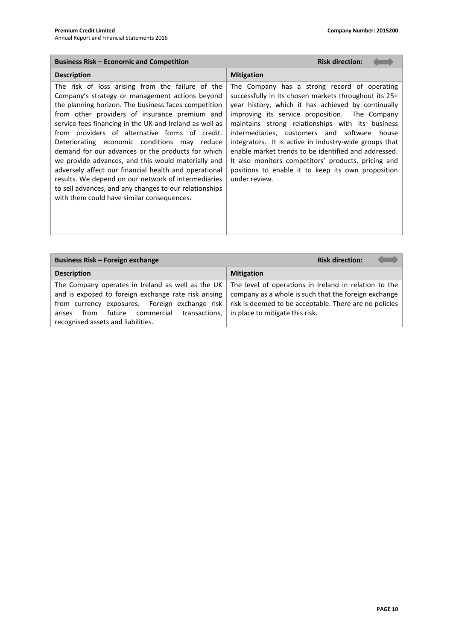| <b>Risk direction:</b><br><b>Business Risk – Economic and Competition</b>                                                                                                                                                                                                                                                                                                                                                                                                                                                                                                                                                                                                                                    |                                                                                                                                                                                                                                                                                                                                                                                                                                                                                                                                                                      |  |
|--------------------------------------------------------------------------------------------------------------------------------------------------------------------------------------------------------------------------------------------------------------------------------------------------------------------------------------------------------------------------------------------------------------------------------------------------------------------------------------------------------------------------------------------------------------------------------------------------------------------------------------------------------------------------------------------------------------|----------------------------------------------------------------------------------------------------------------------------------------------------------------------------------------------------------------------------------------------------------------------------------------------------------------------------------------------------------------------------------------------------------------------------------------------------------------------------------------------------------------------------------------------------------------------|--|
| <b>Description</b>                                                                                                                                                                                                                                                                                                                                                                                                                                                                                                                                                                                                                                                                                           | <b>Mitigation</b>                                                                                                                                                                                                                                                                                                                                                                                                                                                                                                                                                    |  |
| The risk of loss arising from the failure of the<br>Company's strategy or management actions beyond<br>the planning horizon. The business faces competition<br>from other providers of insurance premium and<br>service fees financing in the UK and Ireland as well as<br>from providers of alternative forms of credit.<br>Deteriorating economic conditions may reduce<br>demand for our advances or the products for which<br>we provide advances, and this would materially and<br>adversely affect our financial health and operational<br>results. We depend on our network of intermediaries<br>to sell advances, and any changes to our relationships<br>with them could have similar consequences. | The Company has a strong record of operating<br>successfully in its chosen markets throughout its 25+<br>year history, which it has achieved by continually<br>improving its service proposition. The Company<br>maintains strong relationships with its business<br>intermediaries, customers and software<br>house<br>integrators. It is active in industry-wide groups that<br>enable market trends to be identified and addressed.<br>It also monitors competitors' products, pricing and<br>positions to enable it to keep its own proposition<br>under review. |  |

| <b>Business Risk - Foreign exchange</b>                                                                                                                                                                                                             | <b>Risk direction:</b>                                                                                                                                                                                     |
|-----------------------------------------------------------------------------------------------------------------------------------------------------------------------------------------------------------------------------------------------------|------------------------------------------------------------------------------------------------------------------------------------------------------------------------------------------------------------|
| <b>Description</b>                                                                                                                                                                                                                                  | <b>Mitigation</b>                                                                                                                                                                                          |
| The Company operates in Ireland as well as the UK<br>and is exposed to foreign exchange rate risk arising<br>from currency exposures. Foreign exchange risk<br>from future commercial transactions,<br>arises<br>recognised assets and liabilities. | The level of operations in Ireland in relation to the<br>company as a whole is such that the foreign exchange<br>risk is deemed to be acceptable. There are no policies<br>in place to mitigate this risk. |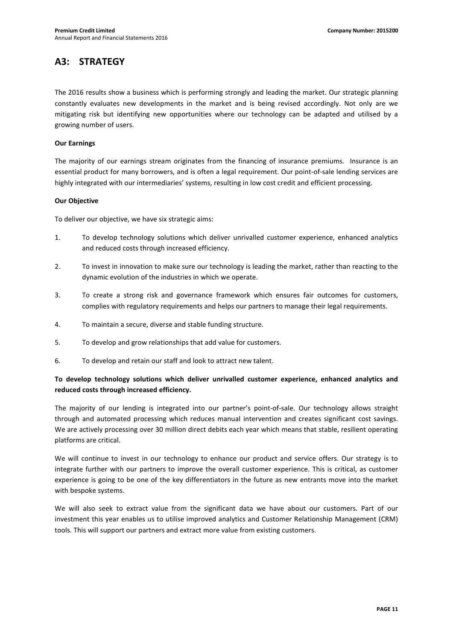## <span id="page-10-0"></span>**A3: STRATEGY**

The 2016 results show a business which is performing strongly and leading the market. Our strategic planning constantly evaluates new developments in the market and is being revised accordingly. Not only are we mitigating risk but identifying new opportunities where our technology can be adapted and utilised by a growing number of users.

#### **Our Earnings**

The majority of our earnings stream originates from the financing of insurance premiums. Insurance is an essential product for many borrowers, and is often a legal requirement. Our point-of-sale lending services are highly integrated with our intermediaries' systems, resulting in low cost credit and efficient processing.

#### **Our Objective**

To deliver our objective, we have six strategic aims:

- 1. To develop technology solutions which deliver unrivalled customer experience, enhanced analytics and reduced costs through increased efficiency.
- 2. To invest in innovation to make sure our technology is leading the market, rather than reacting to the dynamic evolution of the industries in which we operate.
- 3. To create a strong risk and governance framework which ensures fair outcomes for customers, complies with regulatory requirements and helps our partners to manage their legal requirements.
- 4. To maintain a secure, diverse and stable funding structure.
- 5. To develop and grow relationships that add value for customers.
- 6. To develop and retain our staff and look to attract new talent.

### **To develop technology solutions which deliver unrivalled customer experience, enhanced analytics and reduced costs through increased efficiency.**

The majority of our lending is integrated into our partner's point-of-sale. Our technology allows straight through and automated processing which reduces manual intervention and creates significant cost savings. We are actively processing over 30 million direct debits each year which means that stable, resilient operating platforms are critical.

We will continue to invest in our technology to enhance our product and service offers. Our strategy is to integrate further with our partners to improve the overall customer experience. This is critical, as customer experience is going to be one of the key differentiators in the future as new entrants move into the market with bespoke systems.

We will also seek to extract value from the significant data we have about our customers. Part of our investment this year enables us to utilise improved analytics and Customer Relationship Management (CRM) tools. This will support our partners and extract more value from existing customers.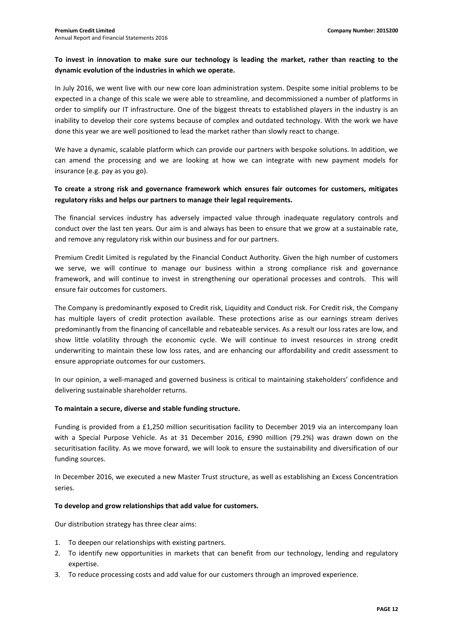### **To invest in innovation to make sure our technology is leading the market, rather than reacting to the dynamic evolution of the industries in which we operate.**

In July 2016, we went live with our new core loan administration system. Despite some initial problems to be expected in a change of this scale we were able to streamline, and decommissioned a number of platforms in order to simplify our IT infrastructure. One of the biggest threats to established players in the industry is an inability to develop their core systems because of complex and outdated technology. With the work we have done this year we are well positioned to lead the market rather than slowly react to change.

We have a dynamic, scalable platform which can provide our partners with bespoke solutions. In addition, we can amend the processing and we are looking at how we can integrate with new payment models for insurance (e.g. pay as you go).

### **To create a strong risk and governance framework which ensures fair outcomes for customers, mitigates regulatory risks and helps our partners to manage their legal requirements.**

The financial services industry has adversely impacted value through inadequate regulatory controls and conduct over the last ten years. Our aim is and always has been to ensure that we grow at a sustainable rate, and remove any regulatory risk within our business and for our partners.

Premium Credit Limited is regulated by the Financial Conduct Authority. Given the high number of customers we serve, we will continue to manage our business within a strong compliance risk and governance framework, and will continue to invest in strengthening our operational processes and controls. This will ensure fair outcomes for customers.

The Company is predominantly exposed to Credit risk, Liquidity and Conduct risk. For Credit risk, the Company has multiple layers of credit protection available. These protections arise as our earnings stream derives predominantly from the financing of cancellable and rebateable services. As a result our loss rates are low, and show little volatility through the economic cycle. We will continue to invest resources in strong credit underwriting to maintain these low loss rates, and are enhancing our affordability and credit assessment to ensure appropriate outcomes for our customers.

In our opinion, a well-managed and governed business is critical to maintaining stakeholders' confidence and delivering sustainable shareholder returns.

### **To maintain a secure, diverse and stable funding structure.**

Funding is provided from a £1,250 million securitisation facility to December 2019 via an intercompany loan with a Special Purpose Vehicle. As at 31 December 2016, £990 million (79.2%) was drawn down on the securitisation facility. As we move forward, we will look to ensure the sustainability and diversification of our funding sources.

In December 2016, we executed a new Master Trust structure, as well as establishing an Excess Concentration series.

#### **To develop and grow relationships that add value for customers.**

Our distribution strategy has three clear aims:

- 1. To deepen our relationships with existing partners.
- 2. To identify new opportunities in markets that can benefit from our technology, lending and regulatory expertise.
- 3. To reduce processing costs and add value for our customers through an improved experience.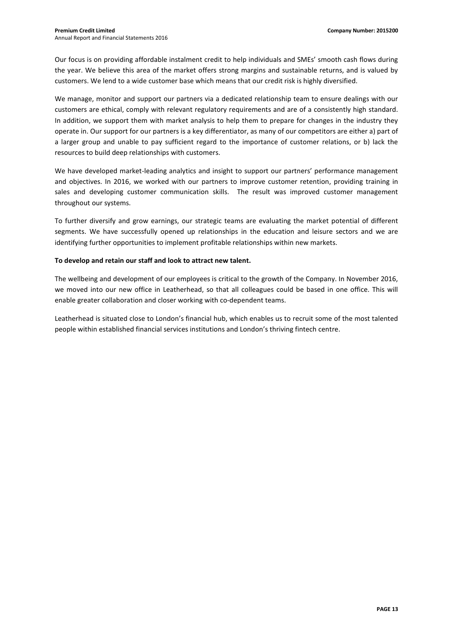Our focus is on providing affordable instalment credit to help individuals and SMEs' smooth cash flows during the year. We believe this area of the market offers strong margins and sustainable returns, and is valued by customers. We lend to a wide customer base which means that our credit risk is highly diversified.

We manage, monitor and support our partners via a dedicated relationship team to ensure dealings with our customers are ethical, comply with relevant regulatory requirements and are of a consistently high standard. In addition, we support them with market analysis to help them to prepare for changes in the industry they operate in. Our support for our partners is a key differentiator, as many of our competitors are either a) part of a larger group and unable to pay sufficient regard to the importance of customer relations, or b) lack the resources to build deep relationships with customers.

We have developed market-leading analytics and insight to support our partners' performance management and objectives. In 2016, we worked with our partners to improve customer retention, providing training in sales and developing customer communication skills. The result was improved customer management throughout our systems.

To further diversify and grow earnings, our strategic teams are evaluating the market potential of different segments. We have successfully opened up relationships in the education and leisure sectors and we are identifying further opportunities to implement profitable relationships within new markets.

#### **To develop and retain our staff and look to attract new talent.**

The wellbeing and development of our employees is critical to the growth of the Company. In November 2016, we moved into our new office in Leatherhead, so that all colleagues could be based in one office. This will enable greater collaboration and closer working with co-dependent teams.

Leatherhead is situated close to London's financial hub, which enables us to recruit some of the most talented people within established financial services institutions and London's thriving fintech centre.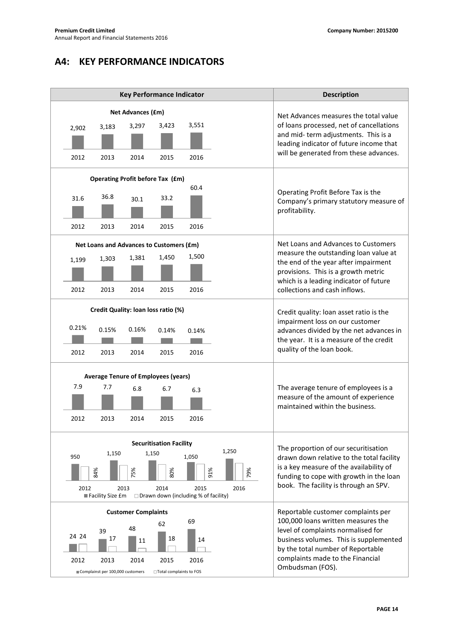## <span id="page-13-0"></span>**A4: KEY PERFORMANCE INDICATORS**

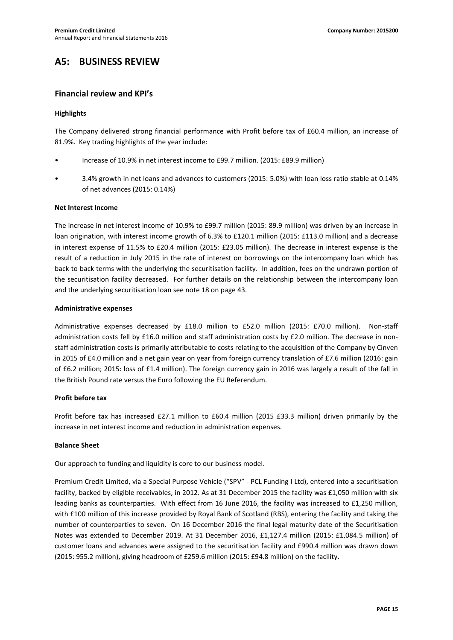## <span id="page-14-0"></span>**A5: BUSINESS REVIEW**

### **Financial review and KPI's**

#### **Highlights**

The Company delivered strong financial performance with Profit before tax of £60.4 million, an increase of 81.9%. Key trading highlights of the year include:

- Increase of 10.9% in net interest income to £99.7 million. (2015: £89.9 million)
- 3.4% growth in net loans and advances to customers (2015: 5.0%) with loan loss ratio stable at 0.14% of net advances (2015: 0.14%)

#### **Net Interest Income**

The increase in net interest income of 10.9% to £99.7 million (2015: 89.9 million) was driven by an increase in loan origination, with interest income growth of 6.3% to £120.1 million (2015: £113.0 million) and a decrease in interest expense of 11.5% to £20.4 million (2015: £23.05 million). The decrease in interest expense is the result of a reduction in July 2015 in the rate of interest on borrowings on the intercompany loan which has back to back terms with the underlying the securitisation facility. In addition, fees on the undrawn portion of the securitisation facility decreased. For further details on the relationship between the intercompany loan and the underlying securitisation loan see note [18](#page-42-0) on page [43.](#page-42-0)

#### **Administrative expenses**

Administrative expenses decreased by £18.0 million to £52.0 million (2015: £70.0 million). Non-staff administration costs fell by £16.0 million and staff administration costs by £2.0 million. The decrease in nonstaff administration costs is primarily attributable to costs relating to the acquisition of the Company by Cinven in 2015 of £4.0 million and a net gain year on year from foreign currency translation of £7.6 million (2016: gain of £6.2 million; 2015: loss of £1.4 million). The foreign currency gain in 2016 was largely a result of the fall in the British Pound rate versus the Euro following the EU Referendum.

#### **Profit before tax**

Profit before tax has increased £27.1 million to £60.4 million (2015 £33.3 million) driven primarily by the increase in net interest income and reduction in administration expenses.

#### **Balance Sheet**

Our approach to funding and liquidity is core to our business model.

Premium Credit Limited, via a Special Purpose Vehicle ("SPV" - PCL Funding I Ltd), entered into a securitisation facility, backed by eligible receivables, in 2012. As at 31 December 2015 the facility was £1,050 million with six leading banks as counterparties. With effect from 16 June 2016, the facility was increased to £1,250 million, with £100 million of this increase provided by Royal Bank of Scotland (RBS), entering the facility and taking the number of counterparties to seven. On 16 December 2016 the final legal maturity date of the Securitisation Notes was extended to December 2019. At 31 December 2016, £1,127.4 million (2015: £1,084.5 million) of customer loans and advances were assigned to the securitisation facility and £990.4 million was drawn down (2015: 955.2 million), giving headroom of £259.6 million (2015: £94.8 million) on the facility.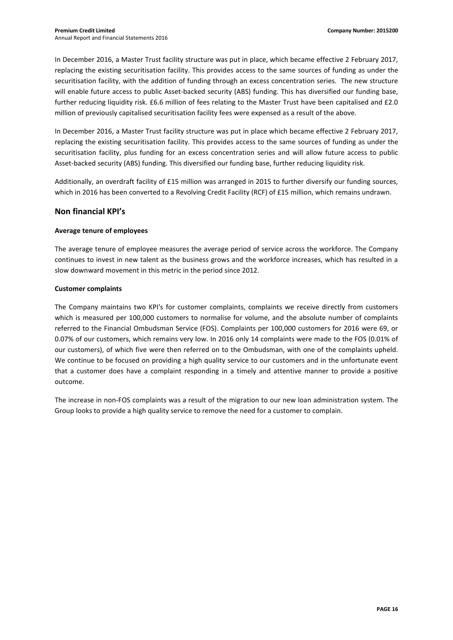In December 2016, a Master Trust facility structure was put in place, which became effective 2 February 2017, replacing the existing securitisation facility. This provides access to the same sources of funding as under the securitisation facility, with the addition of funding through an excess concentration series. The new structure will enable future access to public Asset-backed security (ABS) funding. This has diversified our funding base, further reducing liquidity risk. £6.6 million of fees relating to the Master Trust have been capitalised and £2.0 million of previously capitalised securitisation facility fees were expensed as a result of the above.

In December 2016, a Master Trust facility structure was put in place which became effective 2 February 2017, replacing the existing securitisation facility. This provides access to the same sources of funding as under the securitisation facility, plus funding for an excess concentration series and will allow future access to public Asset-backed security (ABS) funding. This diversified our funding base, further reducing liquidity risk.

Additionally, an overdraft facility of £15 million was arranged in 2015 to further diversify our funding sources, which in 2016 has been converted to a Revolving Credit Facility (RCF) of £15 million, which remains undrawn.

#### **Non financial KPI's**

#### **Average tenure of employees**

The average tenure of employee measures the average period of service across the workforce. The Company continues to invest in new talent as the business grows and the workforce increases, which has resulted in a slow downward movement in this metric in the period since 2012.

#### **Customer complaints**

The Company maintains two KPI's for customer complaints, complaints we receive directly from customers which is measured per 100,000 customers to normalise for volume, and the absolute number of complaints referred to the Financial Ombudsman Service (FOS). Complaints per 100,000 customers for 2016 were 69, or 0.07% of our customers, which remains very low. In 2016 only 14 complaints were made to the FOS (0.01% of our customers), of which five were then referred on to the Ombudsman, with one of the complaints upheld. We continue to be focused on providing a high quality service to our customers and in the unfortunate event that a customer does have a complaint responding in a timely and attentive manner to provide a positive outcome.

The increase in non-FOS complaints was a result of the migration to our new loan administration system. The Group looks to provide a high quality service to remove the need for a customer to complain.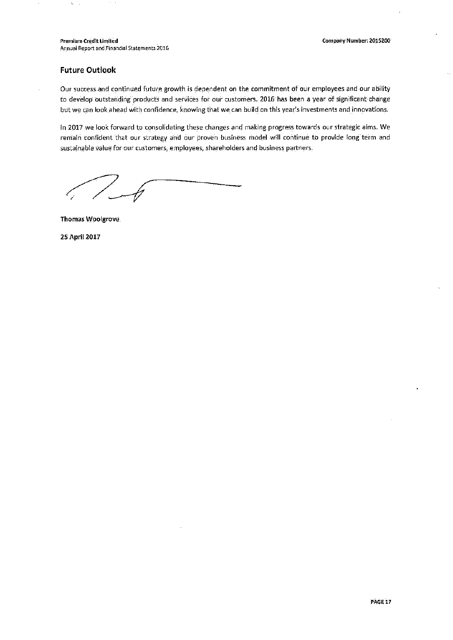### **Future Outlook**

Our success and continued future growth is dependent on the commitment of our employees and our ability to develop outstanding products and services for our customers. 2016 has been a year of significant change but we can look ahead with confidence, knowing that we can build on this year's investments and innovations.

In 2017 we look forward to consolidating these changes and making progress towards our strategic aims. We remain confident that our strategy and our proven business model will continue to provide long term and sustainable value for our customers, employees, shareholders and business partners.

Thomas Woolgrove.

25 April 2017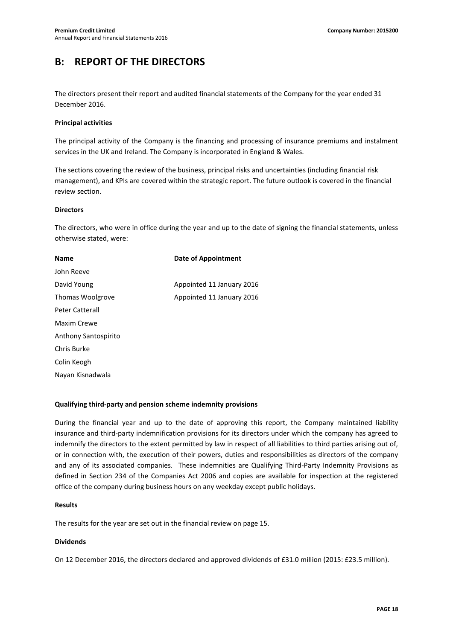## <span id="page-17-0"></span>**B: REPORT OF THE DIRECTORS**

The directors present their report and audited financial statements of the Company for the year ended 31 December 2016.

#### **Principal activities**

The principal activity of the Company is the financing and processing of insurance premiums and instalment services in the UK and Ireland. The Company is incorporated in England & Wales.

The sections covering the review of the business, principal risks and uncertainties (including financial risk management), and KPIs are covered within the strategic report. The future outlook is covered in the financial review section.

#### **Directors**

The directors, who were in office during the year and up to the date of signing the financial statements, unless otherwise stated, were:

| <b>Name</b>          | <b>Date of Appointment</b> |
|----------------------|----------------------------|
| John Reeve           |                            |
| David Young          | Appointed 11 January 2016  |
| Thomas Woolgrove     | Appointed 11 January 2016  |
| Peter Catterall      |                            |
| Maxim Crewe          |                            |
| Anthony Santospirito |                            |
| Chris Burke          |                            |
| Colin Keogh          |                            |
| Nayan Kisnadwala     |                            |

#### **Qualifying third-party and pension scheme indemnity provisions**

During the financial year and up to the date of approving this report, the Company maintained liability insurance and third-party indemnification provisions for its directors under which the company has agreed to indemnify the directors to the extent permitted by law in respect of all liabilities to third parties arising out of, or in connection with, the execution of their powers, duties and responsibilities as directors of the company and any of its associated companies. These indemnities are Qualifying Third-Party Indemnity Provisions as defined in Section 234 of the Companies Act 2006 and copies are available for inspection at the registered office of the company during business hours on any weekday except public holidays.

#### **Results**

The results for the year are set out in the financial review on pag[e 15.](#page-14-0)

#### **Dividends**

On 12 December 2016, the directors declared and approved dividends of £31.0 million (2015: £23.5 million).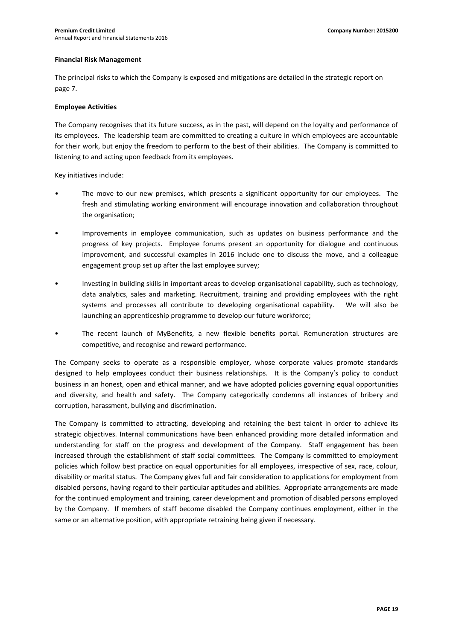#### **Financial Risk Management**

The principal risks to which the Company is exposed and mitigations are detailed in the strategic report on page [7.](#page-5-0)

#### **Employee Activities**

The Company recognises that its future success, as in the past, will depend on the loyalty and performance of its employees. The leadership team are committed to creating a culture in which employees are accountable for their work, but enjoy the freedom to perform to the best of their abilities. The Company is committed to listening to and acting upon feedback from its employees.

Key initiatives include:

- The move to our new premises, which presents a significant opportunity for our employees. The fresh and stimulating working environment will encourage innovation and collaboration throughout the organisation;
- Improvements in employee communication, such as updates on business performance and the progress of key projects. Employee forums present an opportunity for dialogue and continuous improvement, and successful examples in 2016 include one to discuss the move, and a colleague engagement group set up after the last employee survey;
- Investing in building skills in important areas to develop organisational capability, such as technology, data analytics, sales and marketing. Recruitment, training and providing employees with the right systems and processes all contribute to developing organisational capability. We will also be launching an apprenticeship programme to develop our future workforce;
- The recent launch of MyBenefits, a new flexible benefits portal. Remuneration structures are competitive, and recognise and reward performance.

The Company seeks to operate as a responsible employer, whose corporate values promote standards designed to help employees conduct their business relationships. It is the Company's policy to conduct business in an honest, open and ethical manner, and we have adopted policies governing equal opportunities and diversity, and health and safety. The Company categorically condemns all instances of bribery and corruption, harassment, bullying and discrimination.

The Company is committed to attracting, developing and retaining the best talent in order to achieve its strategic objectives. Internal communications have been enhanced providing more detailed information and understanding for staff on the progress and development of the Company. Staff engagement has been increased through the establishment of staff social committees. The Company is committed to employment policies which follow best practice on equal opportunities for all employees, irrespective of sex, race, colour, disability or marital status. The Company gives full and fair consideration to applications for employment from disabled persons, having regard to their particular aptitudes and abilities. Appropriate arrangements are made for the continued employment and training, career development and promotion of disabled persons employed by the Company. If members of staff become disabled the Company continues employment, either in the same or an alternative position, with appropriate retraining being given if necessary.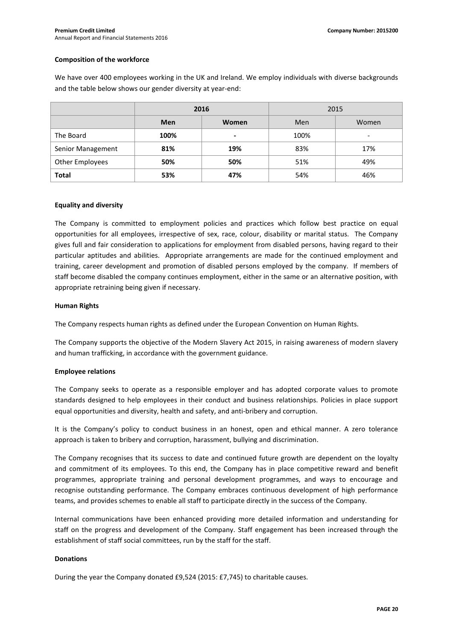#### **Composition of the workforce**

We have over 400 employees working in the UK and Ireland. We employ individuals with diverse backgrounds and the table below shows our gender diversity at year-end:

|                        | 2016       |       | 2015 |                          |  |
|------------------------|------------|-------|------|--------------------------|--|
|                        | <b>Men</b> | Women | Men  | Women                    |  |
| The Board              | 100%       | -     | 100% | $\overline{\phantom{0}}$ |  |
| Senior Management      | 81%        | 19%   | 83%  | 17%                      |  |
| <b>Other Employees</b> | 50%        | 50%   | 51%  | 49%                      |  |
| Total                  | 53%        | 47%   | 54%  | 46%                      |  |

#### **Equality and diversity**

The Company is committed to employment policies and practices which follow best practice on equal opportunities for all employees, irrespective of sex, race, colour, disability or marital status. The Company gives full and fair consideration to applications for employment from disabled persons, having regard to their particular aptitudes and abilities. Appropriate arrangements are made for the continued employment and training, career development and promotion of disabled persons employed by the company. If members of staff become disabled the company continues employment, either in the same or an alternative position, with appropriate retraining being given if necessary.

#### **Human Rights**

The Company respects human rights as defined under the European Convention on Human Rights.

The Company supports the objective of the Modern Slavery Act 2015, in raising awareness of modern slavery and human trafficking, in accordance with the government guidance.

#### **Employee relations**

The Company seeks to operate as a responsible employer and has adopted corporate values to promote standards designed to help employees in their conduct and business relationships. Policies in place support equal opportunities and diversity, health and safety, and anti-bribery and corruption.

It is the Company's policy to conduct business in an honest, open and ethical manner. A zero tolerance approach is taken to bribery and corruption, harassment, bullying and discrimination.

The Company recognises that its success to date and continued future growth are dependent on the loyalty and commitment of its employees. To this end, the Company has in place competitive reward and benefit programmes, appropriate training and personal development programmes, and ways to encourage and recognise outstanding performance. The Company embraces continuous development of high performance teams, and provides schemes to enable all staff to participate directly in the success of the Company.

Internal communications have been enhanced providing more detailed information and understanding for staff on the progress and development of the Company. Staff engagement has been increased through the establishment of staff social committees, run by the staff for the staff.

#### **Donations**

During the year the Company donated £9,524 (2015: £7,745) to charitable causes.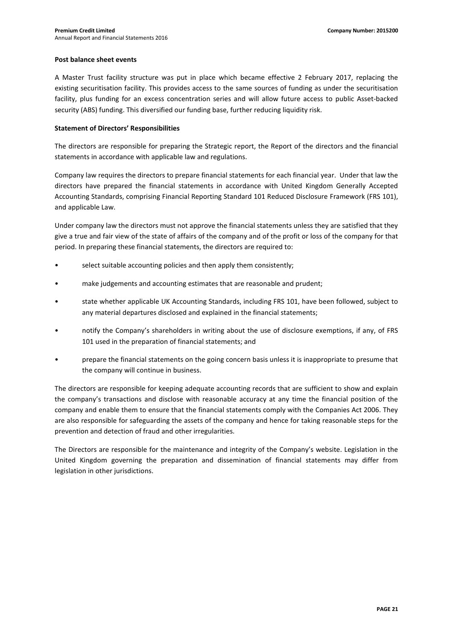#### **Post balance sheet events**

A Master Trust facility structure was put in place which became effective 2 February 2017, replacing the existing securitisation facility. This provides access to the same sources of funding as under the securitisation facility, plus funding for an excess concentration series and will allow future access to public Asset-backed security (ABS) funding. This diversified our funding base, further reducing liquidity risk.

#### **Statement of Directors' Responsibilities**

The directors are responsible for preparing the Strategic report, the Report of the directors and the financial statements in accordance with applicable law and regulations.

Company law requires the directors to prepare financial statements for each financial year. Under that law the directors have prepared the financial statements in accordance with United Kingdom Generally Accepted Accounting Standards, comprising Financial Reporting Standard 101 Reduced Disclosure Framework (FRS 101), and applicable Law.

Under company law the directors must not approve the financial statements unless they are satisfied that they give a true and fair view of the state of affairs of the company and of the profit or loss of the company for that period. In preparing these financial statements, the directors are required to:

- select suitable accounting policies and then apply them consistently;
- make judgements and accounting estimates that are reasonable and prudent;
- state whether applicable UK Accounting Standards, including FRS 101, have been followed, subject to any material departures disclosed and explained in the financial statements;
- notify the Company's shareholders in writing about the use of disclosure exemptions, if any, of FRS 101 used in the preparation of financial statements; and
- prepare the financial statements on the going concern basis unless it is inappropriate to presume that the company will continue in business.

The directors are responsible for keeping adequate accounting records that are sufficient to show and explain the company's transactions and disclose with reasonable accuracy at any time the financial position of the company and enable them to ensure that the financial statements comply with the Companies Act 2006. They are also responsible for safeguarding the assets of the company and hence for taking reasonable steps for the prevention and detection of fraud and other irregularities.

The Directors are responsible for the maintenance and integrity of the Company's website. Legislation in the United Kingdom governing the preparation and dissemination of financial statements may differ from legislation in other jurisdictions.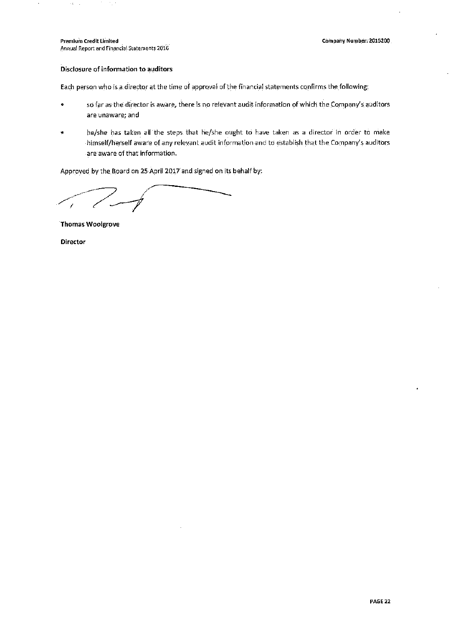#### Disclosure of information to auditors

Each person who is a director at the time of approval of the financial statements confirms the following.

- so far as the director is aware, there is no relevant audit information of which the Company's auditors are unaware; and
- he/she has taken all the steps that he/she ought to have taken as a director in order to make himself/herself aware of any relevant audit information and to establish that the Company's auditors are aware of that information.

Approved by the Board on 25 April 2017 and signed on its behalf by:

**Thomas Woolgrove** 

Director

 $\hat{\mathcal{A}}$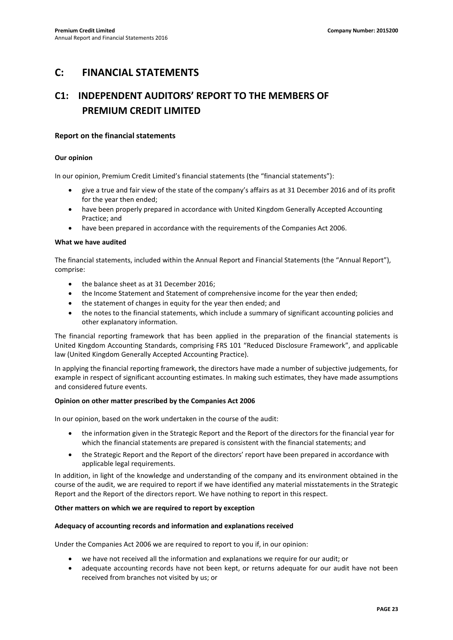## <span id="page-22-0"></span>**C: FINANCIAL STATEMENTS**

## <span id="page-22-1"></span>**C1: INDEPENDENT AUDITORS' REPORT TO THE MEMBERS OF PREMIUM CREDIT LIMITED**

#### **Report on the financial statements**

#### **Our opinion**

In our opinion, Premium Credit Limited's financial statements (the "financial statements"):

- give a true and fair view of the state of the company's affairs as at 31 December 2016 and of its profit for the year then ended;
- have been properly prepared in accordance with United Kingdom Generally Accepted Accounting Practice; and
- have been prepared in accordance with the requirements of the Companies Act 2006.

#### **What we have audited**

The financial statements, included within the Annual Report and Financial Statements (the "Annual Report"), comprise:

- the balance sheet as at 31 December 2016;
- the Income Statement and Statement of comprehensive income for the year then ended;
- the statement of changes in equity for the year then ended; and
- the notes to the financial statements, which include a summary of significant accounting policies and other explanatory information.

The financial reporting framework that has been applied in the preparation of the financial statements is United Kingdom Accounting Standards, comprising FRS 101 "Reduced Disclosure Framework", and applicable law (United Kingdom Generally Accepted Accounting Practice).

In applying the financial reporting framework, the directors have made a number of subjective judgements, for example in respect of significant accounting estimates. In making such estimates, they have made assumptions and considered future events.

#### **Opinion on other matter prescribed by the Companies Act 2006**

In our opinion, based on the work undertaken in the course of the audit:

- the information given in the Strategic Report and the Report of the directors for the financial year for which the financial statements are prepared is consistent with the financial statements; and
- the Strategic Report and the Report of the directors' report have been prepared in accordance with applicable legal requirements.

In addition, in light of the knowledge and understanding of the company and its environment obtained in the course of the audit, we are required to report if we have identified any material misstatements in the Strategic Report and the Report of the directors report. We have nothing to report in this respect.

#### **Other matters on which we are required to report by exception**

#### **Adequacy of accounting records and information and explanations received**

Under the Companies Act 2006 we are required to report to you if, in our opinion:

- we have not received all the information and explanations we require for our audit; or
- adequate accounting records have not been kept, or returns adequate for our audit have not been received from branches not visited by us; or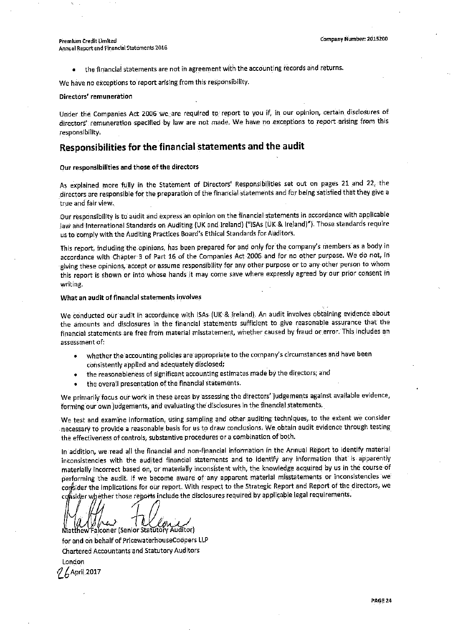#### **Premlum Credit Limited**

Annual Report and Financial Statements 2016

the financial statements are not in agreement with the accounting records and returns.

We have no exceptions to report arising from this responsibility.

#### Directors' remuneration

Under the Companies Act 2006 we are required to report to you if, in our opinion, certain disclosures of directors' remuneration specified by law are not made. We have no exceptions to report arising from this responsibility.

### Responsibilities for the financial statements and the audit

#### Our responsibilities and those of the directors

As explained more fully in the Statement of Directors' Responsibilities set out on pages 21 and 22, the directors are responsible for the preparation of the financial statements and for being satisfied that they give a true and fair view.

Our responsibility is to audit and express an opinion on the financial statements in accordance with applicable law and International Standards on Auditing (UK and Ireland) ("ISAs (UK & Ireland)"). Those standards require us to comply with the Auditing Practices Board's Ethical Standards for Auditors.

This report, including the opinions, has been prepared for and only for the company's members as a body in accordance with Chapter 3 of Part 16 of the Companies Act 2006 and for no other purpose. We do not, in giving these opinions, accept or assume responsibility for any other purpose or to any other person to whom this report is shown or into whose hands it may come save where expressly agreed by our prior consent in writing.

#### What an audit of financial statements involves

We conducted our audit in accordance with ISAs (UK & Ireland). An audit involves obtaining evidence about the amounts and disclosures in the financial statements sufficient to give reasonable assurance that the financial statements are free from material misstatement, whether caused by fraud or error. This includes an assessment of:

- whether the accounting policies are appropriate to the company's circumstances and have been consistently applied and adequately disclosed;
- the reasonableness of significant accounting estimates made by the directors; and  $\bullet$
- the overall presentation of the financial statements.

We primarily focus our work in these areas by assessing the directors' judgements against available evidence, forming our own judgements, and evaluating the disclosures in the financial statements.

We test and examine information, using sampling and other auditing techniques, to the extent we consider necessary to provide a reasonable basis for us to draw conclusions. We obtain audit evidence through testing the effectiveness of controls, substantive procedures or a combination of both.

In addition, we read all the financial and non-financial information in the Annual Report to identify material inconsistencies with the audited financial statements and to identify any information that is apparently materially incorrect based on, or materially inconsistent with, the knowledge acquired by us in the course of performing the audit. If we become aware of any apparent material misstatements or inconsistencies we corsider the implications for our report. With respect to the Strategic Report and Report of the directors, we consider whether those reports include the disclosures required by applicable legal requirements.

Matthew Falconer (Senior Statutory Auditor) for and on behalf of PricewaterhouseCoopers LLP **Chartered Accountants and Statutory Auditors** London

 $\mathscr{O}$  April 2017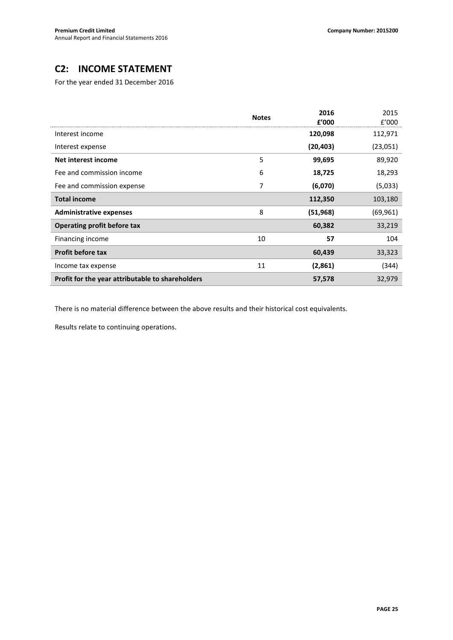## <span id="page-24-0"></span>**C2: INCOME STATEMENT**

For the year ended 31 December 2016

|                                                  | <b>Notes</b> | 2016      | 2015      |
|--------------------------------------------------|--------------|-----------|-----------|
|                                                  |              | f'000     | f'000     |
| Interest income                                  |              | 120,098   | 112,971   |
| Interest expense                                 |              | (20, 403) | (23,051)  |
| Net interest income                              | 5            | 99,695    | 89,920    |
| Fee and commission income                        | 6            | 18,725    | 18,293    |
| Fee and commission expense                       | 7            | (6,070)   | (5,033)   |
| <b>Total income</b>                              |              | 112,350   | 103,180   |
| <b>Administrative expenses</b>                   | 8            | (51, 968) | (69, 961) |
| Operating profit before tax                      |              | 60,382    | 33,219    |
| Financing income                                 | 10           | 57        | 104       |
| <b>Profit before tax</b>                         |              | 60,439    | 33,323    |
| Income tax expense                               | 11           | (2,861)   | (344)     |
| Profit for the year attributable to shareholders |              | 57,578    | 32,979    |

There is no material difference between the above results and their historical cost equivalents.

Results relate to continuing operations.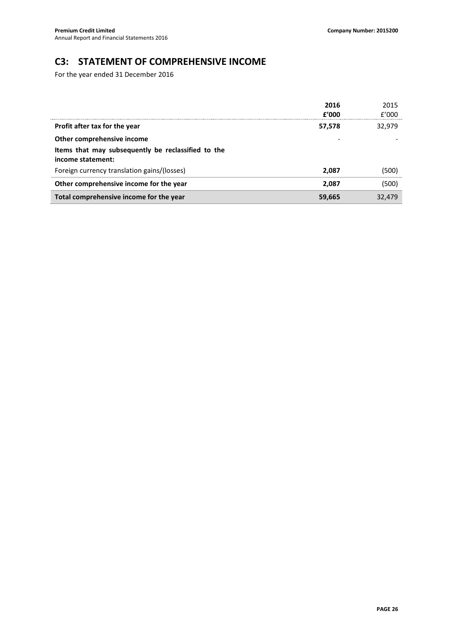## <span id="page-25-0"></span>**C3: STATEMENT OF COMPREHENSIVE INCOME**

For the year ended 31 December 2016

|                                                    | 2016   | 2015   |
|----------------------------------------------------|--------|--------|
|                                                    | f'000  | f'000  |
| Profit after tax for the year                      | 57,578 | 32.979 |
| Other comprehensive income                         |        |        |
| Items that may subsequently be reclassified to the |        |        |
| income statement:                                  |        |        |
| Foreign currency translation gains/(losses)        | 2.087  | (500)  |
| Other comprehensive income for the year            | 2,087  | (500)  |
| Total comprehensive income for the year            | 59,665 | 32.479 |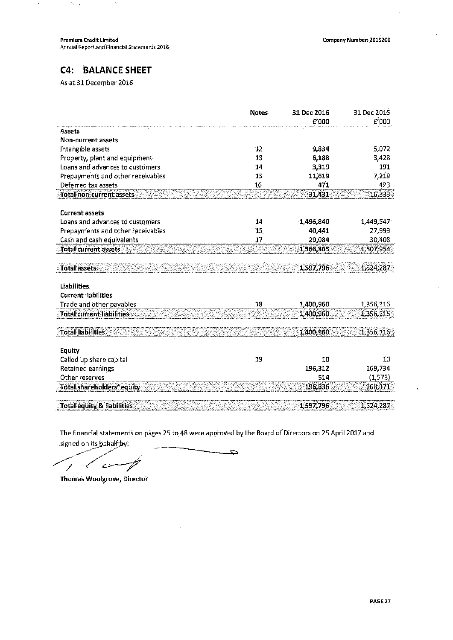$\gamma_{\mu}$  is

 $\overline{a}$ 

### **C4: BALANCE SHEET**

As at 31 December 2016

 $\bar{r}$ 

 $\mathbf{v}_i$ 

|                                       | <b>Notes</b> | 31 Dec 2016 | 31 Dec 2015 |
|---------------------------------------|--------------|-------------|-------------|
|                                       |              | £'000       | £'000       |
| Assets                                |              |             |             |
| <b>Non-current assets</b>             |              |             |             |
| Intangible assets                     | 12           | 9,834       | 5,072       |
| Property, plant and equipment         | 13           | 6,188       | 3,428       |
| Loans and advances to customers       | 14           | 3,319       | 191         |
| Prepayments and other receivables     | 15           | 11,619      | 7,219       |
| Deferred tax assets                   | 16           | 471         | 423         |
| <b>Total non-current assets</b>       |              | 31,431      | 16,333      |
| <b>Current assets</b>                 |              |             |             |
| Loans and advances to customers       | 14           | 1,496,840   | 1,449,547   |
| Prepayments and other receivables     | 15           | 40,441      | 27,999      |
| Cash and cash equivalents             | 17           | 29,084      | 30,408      |
| <b>Total current assets</b>           |              | 1,566,365   | 1,507,954   |
| <b>Total assets</b>                   |              | 1,597,796   | 1,524,287   |
| <b>Liabilities</b>                    |              |             |             |
| <b>Current liabilities</b>            |              |             |             |
| Trade and other payables              | 18           | 1,400,960   | 1,356,116   |
| <b>Total current liabilities</b>      |              | 1,400,960   | 1,356,116   |
| <b>Total liabilities</b>              |              | 1,400,960   | 1,356,116   |
| Equity                                |              |             |             |
| Called up share capital               | 19           | 10          | 10          |
| Retained earnings                     |              | 196,312     | 169,734     |
| Other reserves.                       |              | 514         | (1,573)     |
| <b>Total shareholders' equity</b>     |              | 196,836     | 168,171     |
| <b>Total equity &amp; liabilities</b> |              | 1,597,796   | 1,524,287   |

The financial statements on pages 25 to 48 were approved by the Board of Directors on 25 April 2017 and signed on its behalf by:

Ą

شت 1 Ł.

**Thomas Woolgrove, Director**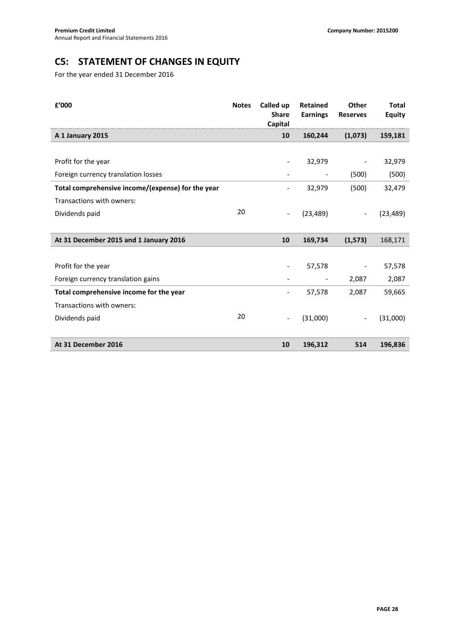## <span id="page-27-0"></span>**C5: STATEMENT OF CHANGES IN EQUITY**

For the year ended 31 December 2016

| £'000                                             | <b>Notes</b> | Called up<br><b>Share</b><br>Capital | <b>Retained</b><br><b>Earnings</b> | Other<br><b>Reserves</b>     | <b>Total</b><br><b>Equity</b> |
|---------------------------------------------------|--------------|--------------------------------------|------------------------------------|------------------------------|-------------------------------|
| A 1 January 2015                                  |              | 10                                   | 160,244                            | (1,073)                      | 159,181                       |
|                                                   |              |                                      |                                    |                              |                               |
| Profit for the year                               |              | $\overline{\phantom{0}}$             | 32,979                             |                              | 32,979                        |
| Foreign currency translation losses               |              |                                      | $\overline{\phantom{a}}$           | (500)                        | (500)                         |
| Total comprehensive income/(expense) for the year |              | $\overline{\phantom{a}}$             | 32,979                             | (500)                        | 32,479                        |
| Transactions with owners:                         |              |                                      |                                    |                              |                               |
| Dividends paid                                    | 20           | $\overline{\phantom{a}}$             | (23, 489)                          |                              | (23, 489)                     |
|                                                   |              |                                      |                                    |                              |                               |
| At 31 December 2015 and 1 January 2016            |              | 10                                   | 169,734                            | (1, 573)                     | 168,171                       |
|                                                   |              |                                      |                                    |                              |                               |
| Profit for the year                               |              | $\overline{\phantom{a}}$             | 57,578                             | $\qquad \qquad \blacksquare$ | 57,578                        |
| Foreign currency translation gains                |              |                                      | $\overline{\phantom{a}}$           | 2,087                        | 2,087                         |
| Total comprehensive income for the year           |              | $\overline{\phantom{a}}$             | 57,578                             | 2,087                        | 59,665                        |
| Transactions with owners:                         |              |                                      |                                    |                              |                               |
| Dividends paid                                    | 20           | -                                    | (31,000)                           |                              | (31,000)                      |
|                                                   |              |                                      |                                    |                              |                               |
| At 31 December 2016                               |              | 10                                   | 196,312                            | 514                          | 196,836                       |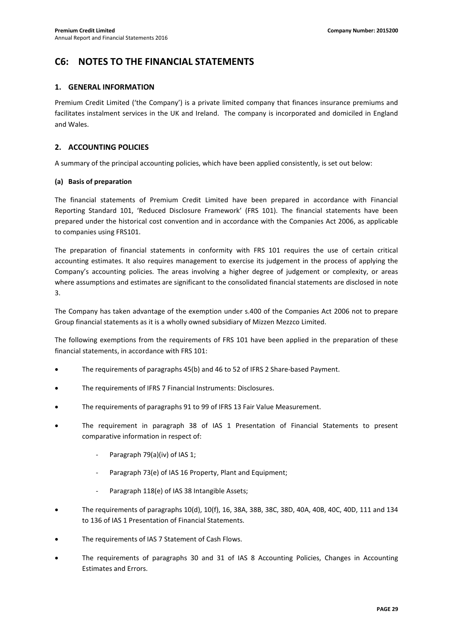## <span id="page-28-0"></span>**C6: NOTES TO THE FINANCIAL STATEMENTS**

### **1. GENERAL INFORMATION**

Premium Credit Limited ('the Company') is a private limited company that finances insurance premiums and facilitates instalment services in the UK and Ireland. The company is incorporated and domiciled in England and Wales.

### **2. ACCOUNTING POLICIES**

A summary of the principal accounting policies, which have been applied consistently, is set out below:

#### **(a) Basis of preparation**

The financial statements of Premium Credit Limited have been prepared in accordance with Financial Reporting Standard 101, 'Reduced Disclosure Framework' (FRS 101). The financial statements have been prepared under the historical cost convention and in accordance with the Companies Act 2006, as applicable to companies using FRS101.

The preparation of financial statements in conformity with FRS 101 requires the use of certain critical accounting estimates. It also requires management to exercise its judgement in the process of applying the Company's accounting policies. The areas involving a higher degree of judgement or complexity, or areas where assumptions and estimates are significant to the consolidated financial statements are disclosed in note 3.

The Company has taken advantage of the exemption under s.400 of the Companies Act 2006 not to prepare Group financial statements as it is a wholly owned subsidiary of Mizzen Mezzco Limited.

The following exemptions from the requirements of FRS 101 have been applied in the preparation of these financial statements, in accordance with FRS 101:

- The requirements of paragraphs 45(b) and 46 to 52 of IFRS 2 Share-based Payment.
- The requirements of IFRS 7 Financial Instruments: Disclosures.
- The requirements of paragraphs 91 to 99 of IFRS 13 Fair Value Measurement.
- The requirement in paragraph 38 of IAS 1 Presentation of Financial Statements to present comparative information in respect of:
	- Paragraph 79(a)(iv) of IAS 1;
	- Paragraph 73(e) of IAS 16 Property, Plant and Equipment;
	- Paragraph 118(e) of IAS 38 Intangible Assets;
- The requirements of paragraphs 10(d), 10(f), 16, 38A, 38B, 38C, 38D, 40A, 40B, 40C, 40D, 111 and 134 to 136 of IAS 1 Presentation of Financial Statements.
- The requirements of IAS 7 Statement of Cash Flows.
- The requirements of paragraphs 30 and 31 of IAS 8 Accounting Policies, Changes in Accounting Estimates and Errors.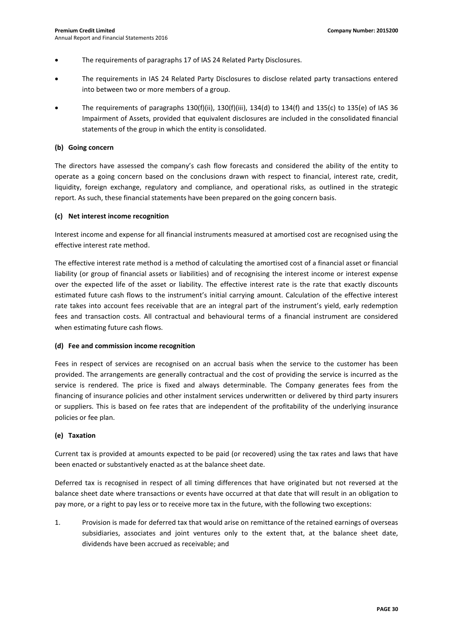- The requirements of paragraphs 17 of IAS 24 Related Party Disclosures.
- The requirements in IAS 24 Related Party Disclosures to disclose related party transactions entered into between two or more members of a group.
- The requirements of paragraphs 130(f)(ii), 130(f)(iii), 134(d) to 134(f) and 135(c) to 135(e) of IAS 36 Impairment of Assets, provided that equivalent disclosures are included in the consolidated financial statements of the group in which the entity is consolidated.

#### **(b) Going concern**

The directors have assessed the company's cash flow forecasts and considered the ability of the entity to operate as a going concern based on the conclusions drawn with respect to financial, interest rate, credit, liquidity, foreign exchange, regulatory and compliance, and operational risks, as outlined in the strategic report. As such, these financial statements have been prepared on the going concern basis.

#### **(c) Net interest income recognition**

Interest income and expense for all financial instruments measured at amortised cost are recognised using the effective interest rate method.

The effective interest rate method is a method of calculating the amortised cost of a financial asset or financial liability (or group of financial assets or liabilities) and of recognising the interest income or interest expense over the expected life of the asset or liability. The effective interest rate is the rate that exactly discounts estimated future cash flows to the instrument's initial carrying amount. Calculation of the effective interest rate takes into account fees receivable that are an integral part of the instrument's yield, early redemption fees and transaction costs. All contractual and behavioural terms of a financial instrument are considered when estimating future cash flows.

#### **(d) Fee and commission income recognition**

Fees in respect of services are recognised on an accrual basis when the service to the customer has been provided. The arrangements are generally contractual and the cost of providing the service is incurred as the service is rendered. The price is fixed and always determinable. The Company generates fees from the financing of insurance policies and other instalment services underwritten or delivered by third party insurers or suppliers. This is based on fee rates that are independent of the profitability of the underlying insurance policies or fee plan.

#### **(e) Taxation**

Current tax is provided at amounts expected to be paid (or recovered) using the tax rates and laws that have been enacted or substantively enacted as at the balance sheet date.

Deferred tax is recognised in respect of all timing differences that have originated but not reversed at the balance sheet date where transactions or events have occurred at that date that will result in an obligation to pay more, or a right to pay less or to receive more tax in the future, with the following two exceptions:

1. Provision is made for deferred tax that would arise on remittance of the retained earnings of overseas subsidiaries, associates and joint ventures only to the extent that, at the balance sheet date, dividends have been accrued as receivable; and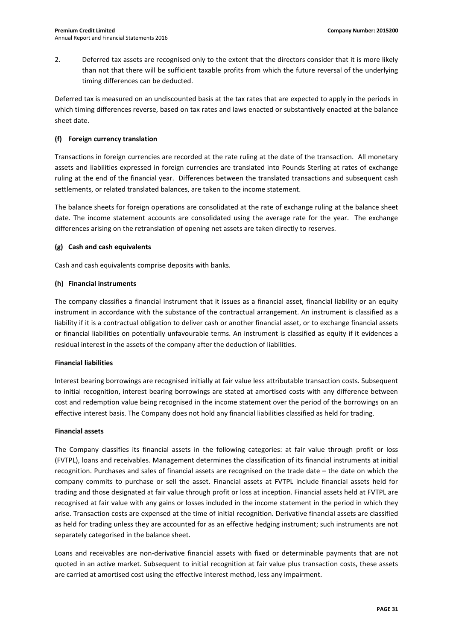2. Deferred tax assets are recognised only to the extent that the directors consider that it is more likely than not that there will be sufficient taxable profits from which the future reversal of the underlying timing differences can be deducted.

Deferred tax is measured on an undiscounted basis at the tax rates that are expected to apply in the periods in which timing differences reverse, based on tax rates and laws enacted or substantively enacted at the balance sheet date.

### **(f) Foreign currency translation**

Transactions in foreign currencies are recorded at the rate ruling at the date of the transaction. All monetary assets and liabilities expressed in foreign currencies are translated into Pounds Sterling at rates of exchange ruling at the end of the financial year. Differences between the translated transactions and subsequent cash settlements, or related translated balances, are taken to the income statement.

The balance sheets for foreign operations are consolidated at the rate of exchange ruling at the balance sheet date. The income statement accounts are consolidated using the average rate for the year. The exchange differences arising on the retranslation of opening net assets are taken directly to reserves.

#### **(g) Cash and cash equivalents**

Cash and cash equivalents comprise deposits with banks.

#### **(h) Financial instruments**

The company classifies a financial instrument that it issues as a financial asset, financial liability or an equity instrument in accordance with the substance of the contractual arrangement. An instrument is classified as a liability if it is a contractual obligation to deliver cash or another financial asset, or to exchange financial assets or financial liabilities on potentially unfavourable terms. An instrument is classified as equity if it evidences a residual interest in the assets of the company after the deduction of liabilities.

#### **Financial liabilities**

Interest bearing borrowings are recognised initially at fair value less attributable transaction costs. Subsequent to initial recognition, interest bearing borrowings are stated at amortised costs with any difference between cost and redemption value being recognised in the income statement over the period of the borrowings on an effective interest basis. The Company does not hold any financial liabilities classified as held for trading.

#### **Financial assets**

The Company classifies its financial assets in the following categories: at fair value through profit or loss (FVTPL), loans and receivables. Management determines the classification of its financial instruments at initial recognition. Purchases and sales of financial assets are recognised on the trade date – the date on which the company commits to purchase or sell the asset. Financial assets at FVTPL include financial assets held for trading and those designated at fair value through profit or loss at inception. Financial assets held at FVTPL are recognised at fair value with any gains or losses included in the income statement in the period in which they arise. Transaction costs are expensed at the time of initial recognition. Derivative financial assets are classified as held for trading unless they are accounted for as an effective hedging instrument; such instruments are not separately categorised in the balance sheet.

Loans and receivables are non-derivative financial assets with fixed or determinable payments that are not quoted in an active market. Subsequent to initial recognition at fair value plus transaction costs, these assets are carried at amortised cost using the effective interest method, less any impairment.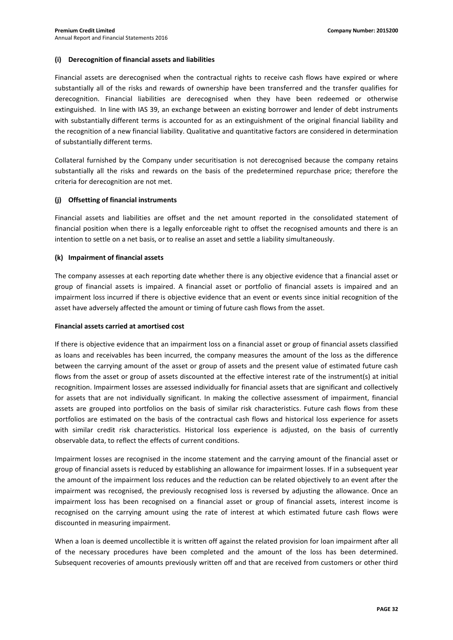#### **(i) Derecognition of financial assets and liabilities**

Financial assets are derecognised when the contractual rights to receive cash flows have expired or where substantially all of the risks and rewards of ownership have been transferred and the transfer qualifies for derecognition. Financial liabilities are derecognised when they have been redeemed or otherwise extinguished. In line with IAS 39, an exchange between an existing borrower and lender of debt instruments with substantially different terms is accounted for as an extinguishment of the original financial liability and the recognition of a new financial liability. Qualitative and quantitative factors are considered in determination of substantially different terms.

Collateral furnished by the Company under securitisation is not derecognised because the company retains substantially all the risks and rewards on the basis of the predetermined repurchase price; therefore the criteria for derecognition are not met.

#### **(j) Offsetting of financial instruments**

Financial assets and liabilities are offset and the net amount reported in the consolidated statement of financial position when there is a legally enforceable right to offset the recognised amounts and there is an intention to settle on a net basis, or to realise an asset and settle a liability simultaneously.

#### **(k) Impairment of financial assets**

The company assesses at each reporting date whether there is any objective evidence that a financial asset or group of financial assets is impaired. A financial asset or portfolio of financial assets is impaired and an impairment loss incurred if there is objective evidence that an event or events since initial recognition of the asset have adversely affected the amount or timing of future cash flows from the asset.

#### **Financial assets carried at amortised cost**

If there is objective evidence that an impairment loss on a financial asset or group of financial assets classified as loans and receivables has been incurred, the company measures the amount of the loss as the difference between the carrying amount of the asset or group of assets and the present value of estimated future cash flows from the asset or group of assets discounted at the effective interest rate of the instrument(s) at initial recognition. Impairment losses are assessed individually for financial assets that are significant and collectively for assets that are not individually significant. In making the collective assessment of impairment, financial assets are grouped into portfolios on the basis of similar risk characteristics. Future cash flows from these portfolios are estimated on the basis of the contractual cash flows and historical loss experience for assets with similar credit risk characteristics. Historical loss experience is adjusted, on the basis of currently observable data, to reflect the effects of current conditions.

Impairment losses are recognised in the income statement and the carrying amount of the financial asset or group of financial assets is reduced by establishing an allowance for impairment losses. If in a subsequent year the amount of the impairment loss reduces and the reduction can be related objectively to an event after the impairment was recognised, the previously recognised loss is reversed by adjusting the allowance. Once an impairment loss has been recognised on a financial asset or group of financial assets, interest income is recognised on the carrying amount using the rate of interest at which estimated future cash flows were discounted in measuring impairment.

When a loan is deemed uncollectible it is written off against the related provision for loan impairment after all of the necessary procedures have been completed and the amount of the loss has been determined. Subsequent recoveries of amounts previously written off and that are received from customers or other third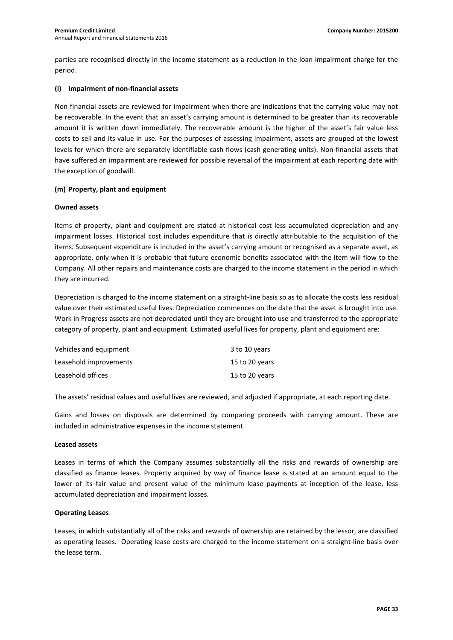parties are recognised directly in the income statement as a reduction in the loan impairment charge for the period.

#### **(l) Impairment of non-financial assets**

Non-financial assets are reviewed for impairment when there are indications that the carrying value may not be recoverable. In the event that an asset's carrying amount is determined to be greater than its recoverable amount it is written down immediately. The recoverable amount is the higher of the asset's fair value less costs to sell and its value in use. For the purposes of assessing impairment, assets are grouped at the lowest levels for which there are separately identifiable cash flows (cash generating units). Non-financial assets that have suffered an impairment are reviewed for possible reversal of the impairment at each reporting date with the exception of goodwill.

#### **(m) Property, plant and equipment**

#### **Owned assets**

Items of property, plant and equipment are stated at historical cost less accumulated depreciation and any impairment losses. Historical cost includes expenditure that is directly attributable to the acquisition of the items. Subsequent expenditure is included in the asset's carrying amount or recognised as a separate asset, as appropriate, only when it is probable that future economic benefits associated with the item will flow to the Company. All other repairs and maintenance costs are charged to the income statement in the period in which they are incurred.

Depreciation is charged to the income statement on a straight-line basis so as to allocate the costs less residual value over their estimated useful lives. Depreciation commences on the date that the asset is brought into use. Work in Progress assets are not depreciated until they are brought into use and transferred to the appropriate category of property, plant and equipment. Estimated useful lives for property, plant and equipment are:

| Vehicles and equipment | 3 to 10 years  |
|------------------------|----------------|
| Leasehold improvements | 15 to 20 years |
| Leasehold offices      | 15 to 20 years |

The assets' residual values and useful lives are reviewed, and adjusted if appropriate, at each reporting date.

Gains and losses on disposals are determined by comparing proceeds with carrying amount. These are included in administrative expenses in the income statement.

#### **Leased assets**

Leases in terms of which the Company assumes substantially all the risks and rewards of ownership are classified as finance leases. Property acquired by way of finance lease is stated at an amount equal to the lower of its fair value and present value of the minimum lease payments at inception of the lease, less accumulated depreciation and impairment losses.

#### **Operating Leases**

Leases, in which substantially all of the risks and rewards of ownership are retained by the lessor, are classified as operating leases. Operating lease costs are charged to the income statement on a straight-line basis over the lease term.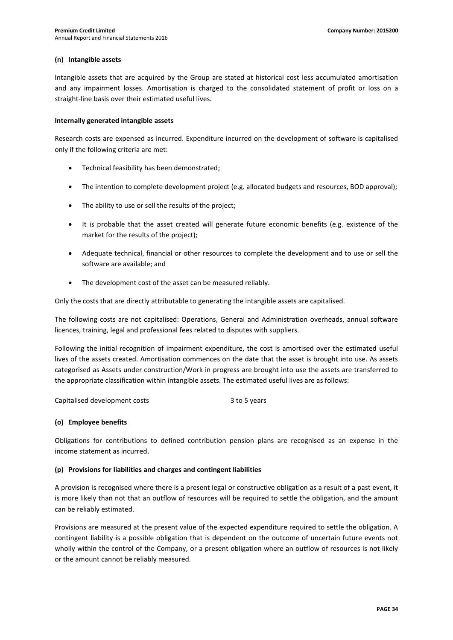#### **(n) Intangible assets**

Intangible assets that are acquired by the Group are stated at historical cost less accumulated amortisation and any impairment losses. Amortisation is charged to the consolidated statement of profit or loss on a straight-line basis over their estimated useful lives.

#### **Internally generated intangible assets**

Research costs are expensed as incurred. Expenditure incurred on the development of software is capitalised only if the following criteria are met:

- Technical feasibility has been demonstrated;
- The intention to complete development project (e.g. allocated budgets and resources, BOD approval);
- The ability to use or sell the results of the project;
- It is probable that the asset created will generate future economic benefits (e.g. existence of the market for the results of the project);
- Adequate technical, financial or other resources to complete the development and to use or sell the software are available; and
- The development cost of the asset can be measured reliably.

Only the costs that are directly attributable to generating the intangible assets are capitalised.

The following costs are not capitalised: Operations, General and Administration overheads, annual software licences, training, legal and professional fees related to disputes with suppliers.

Following the initial recognition of impairment expenditure, the cost is amortised over the estimated useful lives of the assets created. Amortisation commences on the date that the asset is brought into use. As assets categorised as Assets under construction/Work in progress are brought into use the assets are transferred to the appropriate classification within intangible assets. The estimated useful lives are as follows:

Capitalised development costs 3 to 5 years

#### **(o) Employee benefits**

Obligations for contributions to defined contribution pension plans are recognised as an expense in the income statement as incurred.

#### **(p) Provisions for liabilities and charges and contingent liabilities**

A provision is recognised where there is a present legal or constructive obligation as a result of a past event, it is more likely than not that an outflow of resources will be required to settle the obligation, and the amount can be reliably estimated.

Provisions are measured at the present value of the expected expenditure required to settle the obligation. A contingent liability is a possible obligation that is dependent on the outcome of uncertain future events not wholly within the control of the Company, or a present obligation where an outflow of resources is not likely or the amount cannot be reliably measured.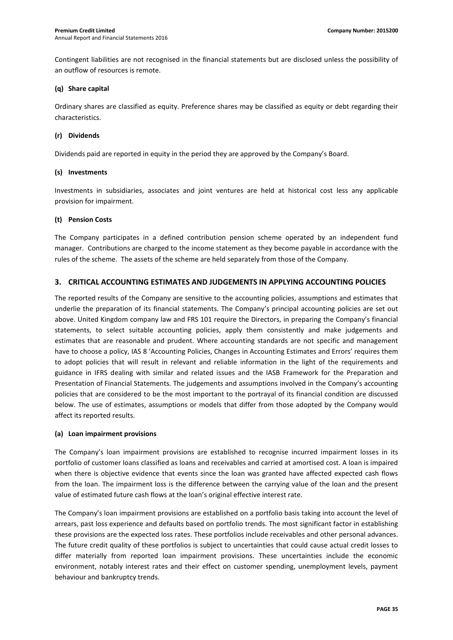Contingent liabilities are not recognised in the financial statements but are disclosed unless the possibility of an outflow of resources is remote.

#### **(q) Share capital**

Ordinary shares are classified as equity. Preference shares may be classified as equity or debt regarding their characteristics.

#### **(r) Dividends**

Dividends paid are reported in equity in the period they are approved by the Company's Board.

#### **(s) Investments**

Investments in subsidiaries, associates and joint ventures are held at historical cost less any applicable provision for impairment.

#### **(t) Pension Costs**

The Company participates in a defined contribution pension scheme operated by an independent fund manager. Contributions are charged to the income statement as they become payable in accordance with the rules of the scheme. The assets of the scheme are held separately from those of the Company.

#### **3. CRITICAL ACCOUNTING ESTIMATES AND JUDGEMENTS IN APPLYING ACCOUNTING POLICIES**

The reported results of the Company are sensitive to the accounting policies, assumptions and estimates that underlie the preparation of its financial statements. The Company's principal accounting policies are set out above. United Kingdom company law and FRS 101 require the Directors, in preparing the Company's financial statements, to select suitable accounting policies, apply them consistently and make judgements and estimates that are reasonable and prudent. Where accounting standards are not specific and management have to choose a policy, IAS 8 'Accounting Policies, Changes in Accounting Estimates and Errors' requires them to adopt policies that will result in relevant and reliable information in the light of the requirements and guidance in IFRS dealing with similar and related issues and the IASB Framework for the Preparation and Presentation of Financial Statements. The judgements and assumptions involved in the Company's accounting policies that are considered to be the most important to the portrayal of its financial condition are discussed below. The use of estimates, assumptions or models that differ from those adopted by the Company would affect its reported results.

#### **(a) Loan impairment provisions**

The Company's loan impairment provisions are established to recognise incurred impairment losses in its portfolio of customer loans classified as loans and receivables and carried at amortised cost. A loan is impaired when there is objective evidence that events since the loan was granted have affected expected cash flows from the loan. The impairment loss is the difference between the carrying value of the loan and the present value of estimated future cash flows at the loan's original effective interest rate.

The Company's loan impairment provisions are established on a portfolio basis taking into account the level of arrears, past loss experience and defaults based on portfolio trends. The most significant factor in establishing these provisions are the expected loss rates. These portfolios include receivables and other personal advances. The future credit quality of these portfolios is subject to uncertainties that could cause actual credit losses to differ materially from reported loan impairment provisions. These uncertainties include the economic environment, notably interest rates and their effect on customer spending, unemployment levels, payment behaviour and bankruptcy trends.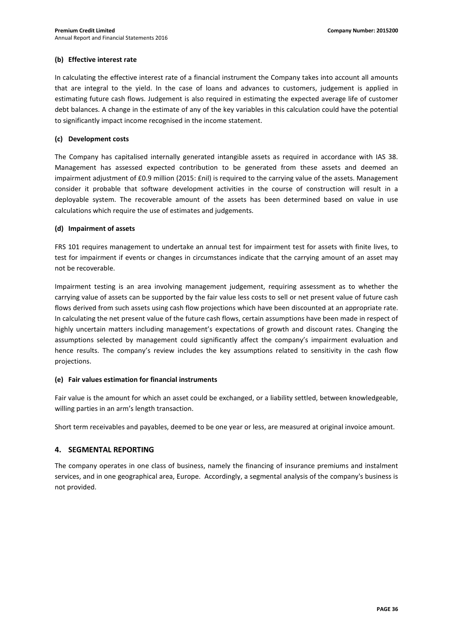#### **(b) Effective interest rate**

In calculating the effective interest rate of a financial instrument the Company takes into account all amounts that are integral to the yield. In the case of loans and advances to customers, judgement is applied in estimating future cash flows. Judgement is also required in estimating the expected average life of customer debt balances. A change in the estimate of any of the key variables in this calculation could have the potential to significantly impact income recognised in the income statement.

#### **(c) Development costs**

The Company has capitalised internally generated intangible assets as required in accordance with IAS 38. Management has assessed expected contribution to be generated from these assets and deemed an impairment adjustment of £0.9 million (2015: £nil) is required to the carrying value of the assets. Management consider it probable that software development activities in the course of construction will result in a deployable system. The recoverable amount of the assets has been determined based on value in use calculations which require the use of estimates and judgements.

#### **(d) Impairment of assets**

FRS 101 requires management to undertake an annual test for impairment test for assets with finite lives, to test for impairment if events or changes in circumstances indicate that the carrying amount of an asset may not be recoverable.

Impairment testing is an area involving management judgement, requiring assessment as to whether the carrying value of assets can be supported by the fair value less costs to sell or net present value of future cash flows derived from such assets using cash flow projections which have been discounted at an appropriate rate. In calculating the net present value of the future cash flows, certain assumptions have been made in respect of highly uncertain matters including management's expectations of growth and discount rates. Changing the assumptions selected by management could significantly affect the company's impairment evaluation and hence results. The company's review includes the key assumptions related to sensitivity in the cash flow projections.

#### **(e) Fair values estimation for financial instruments**

Fair value is the amount for which an asset could be exchanged, or a liability settled, between knowledgeable, willing parties in an arm's length transaction.

Short term receivables and payables, deemed to be one year or less, are measured at original invoice amount.

#### **4. SEGMENTAL REPORTING**

The company operates in one class of business, namely the financing of insurance premiums and instalment services, and in one geographical area, Europe. Accordingly, a segmental analysis of the company's business is not provided.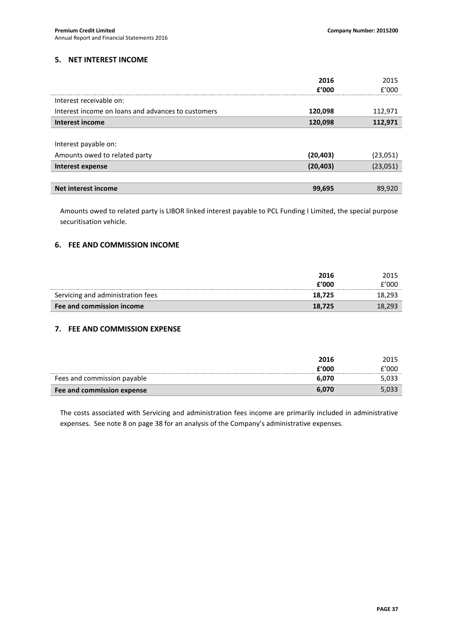#### <span id="page-36-0"></span>**5. NET INTEREST INCOME**

|                                                    | 2016      | 2015      |
|----------------------------------------------------|-----------|-----------|
|                                                    | f'000     | f'000     |
| Interest receivable on:                            |           |           |
| Interest income on loans and advances to customers | 120,098   | 112,971   |
| Interest income                                    | 120,098   | 112,971   |
|                                                    |           |           |
| Interest payable on:                               |           |           |
| Amounts owed to related party                      | (20, 403) | (23,051)  |
| Interest expense                                   | (20, 403) | (23, 051) |
|                                                    |           |           |
| Net interest income                                | 99,695    | 89,920    |

Amounts owed to related party is LIBOR linked interest payable to PCL Funding I Limited, the special purpose securitisation vehicle.

#### <span id="page-36-1"></span>**6. FEE AND COMMISSION INCOME**

|                                   | 2016   | 2015   |
|-----------------------------------|--------|--------|
|                                   | f'000  | f'000  |
| Servicing and administration fees | 18.725 | 18,293 |
| Fee and commission income         | 18,725 | 18,293 |

#### <span id="page-36-2"></span>**7. FEE AND COMMISSION EXPENSE**

|                             | 2016  | 2015  |
|-----------------------------|-------|-------|
|                             | f'000 | f'000 |
| Fees and commission payable | 6.070 | 5,033 |
| Fee and commission expense  | 6.070 | 5,033 |

The costs associated with Servicing and administration fees income are primarily included in administrative expenses. See not[e 8](#page-37-0) on page [38](#page-37-0) for an analysis of the Company's administrative expenses.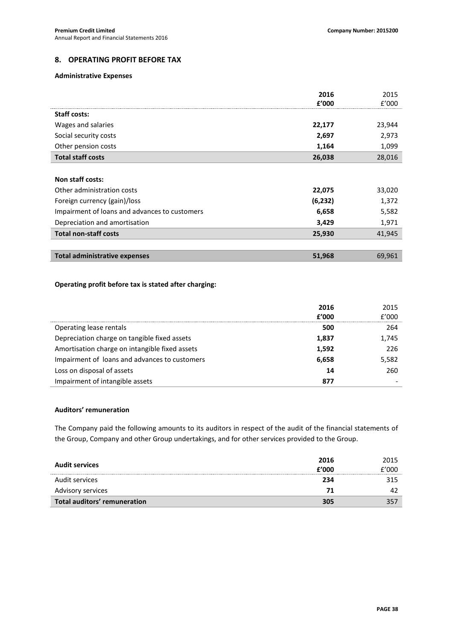#### <span id="page-37-0"></span>**8. OPERATING PROFIT BEFORE TAX**

#### **Administrative Expenses**

|                                               | 2016     | 2015   |
|-----------------------------------------------|----------|--------|
|                                               | f'000    | f'000  |
| <b>Staff costs:</b>                           |          |        |
| Wages and salaries                            | 22,177   | 23,944 |
| Social security costs                         | 2,697    | 2,973  |
| Other pension costs                           | 1,164    | 1,099  |
| <b>Total staff costs</b>                      | 26,038   | 28,016 |
|                                               |          |        |
| <b>Non staff costs:</b>                       |          |        |
| Other administration costs                    | 22,075   | 33,020 |
| Foreign currency (gain)/loss                  | (6, 232) | 1,372  |
| Impairment of loans and advances to customers | 6,658    | 5,582  |
| Depreciation and amortisation                 | 3,429    | 1,971  |
| <b>Total non-staff costs</b>                  | 25,930   | 41,945 |
|                                               |          |        |
| Total administrative expenses                 | 51,968   | 69,961 |

### **Operating profit before tax is stated after charging:**

|                                                | 2016  | 2015  |
|------------------------------------------------|-------|-------|
|                                                | £'000 | f'000 |
| Operating lease rentals                        | 500   | 264   |
| Depreciation charge on tangible fixed assets   | 1.837 | 1.745 |
| Amortisation charge on intangible fixed assets | 1,592 | 226   |
| Impairment of loans and advances to customers  | 6,658 | 5,582 |
| Loss on disposal of assets                     | 14    | 260   |
| Impairment of intangible assets                | 877   |       |

#### **Auditors' remuneration**

The Company paid the following amounts to its auditors in respect of the audit of the financial statements of the Group, Company and other Group undertakings, and for other services provided to the Group.

| <b>Audit services</b>        | 2016<br>f'000 | 2015<br>E'000 |
|------------------------------|---------------|---------------|
| Audit services               | 234           | 315           |
| Advisory services            | 71            |               |
| Total auditors' remuneration | 305           | 357           |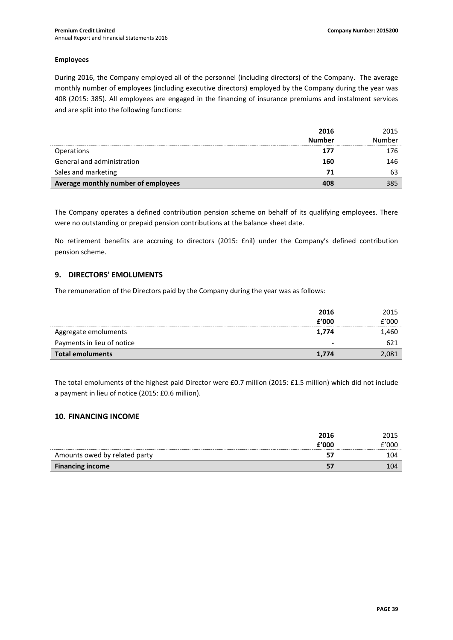#### **Employees**

During 2016, the Company employed all of the personnel (including directors) of the Company. The average monthly number of employees (including executive directors) employed by the Company during the year was 408 (2015: 385). All employees are engaged in the financing of insurance premiums and instalment services and are split into the following functions:

|                                     | 2016          | 2015   |
|-------------------------------------|---------------|--------|
|                                     | <b>Number</b> | Number |
| <b>Operations</b>                   | 177           | 176    |
| General and administration          | 160           | 146    |
| Sales and marketing                 | 71            |        |
| Average monthly number of employees | 408           | 385    |

The Company operates a defined contribution pension scheme on behalf of its qualifying employees. There were no outstanding or prepaid pension contributions at the balance sheet date.

No retirement benefits are accruing to directors (2015: £nil) under the Company's defined contribution pension scheme.

#### **9. DIRECTORS' EMOLUMENTS**

The remuneration of the Directors paid by the Company during the year was as follows:

|                            | 2016  | 2015  |
|----------------------------|-------|-------|
|                            | f'000 | f'000 |
| Aggregate emoluments       | 1,774 | 1,460 |
| Payments in lieu of notice | -     | 621   |
| <b>Total emoluments</b>    | 1,774 | 2,081 |

The total emoluments of the highest paid Director were £0.7 million (2015: £1.5 million) which did not include a payment in lieu of notice (2015: £0.6 million).

#### <span id="page-38-0"></span>**10. FINANCING INCOME**

|                               | 2016  |              |
|-------------------------------|-------|--------------|
|                               | £'000 | '000         |
| Amounts owed by related party |       | 1 N $\Delta$ |
| <b>Financing income</b>       |       | 104          |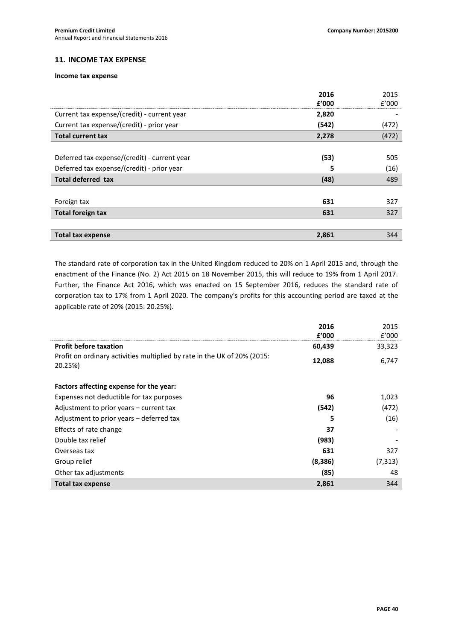### <span id="page-39-0"></span>**11. INCOME TAX EXPENSE**

#### **Income tax expense**

|                                              | 2016  | 2015  |
|----------------------------------------------|-------|-------|
|                                              | £'000 | f'000 |
| Current tax expense/(credit) - current year  | 2,820 |       |
| Current tax expense/(credit) - prior year    | (542) | (472) |
| <b>Total current tax</b>                     | 2,278 | (472) |
|                                              |       |       |
| Deferred tax expense/(credit) - current year | (53)  | 505   |
| Deferred tax expense/(credit) - prior year   | 5     | (16)  |
| <b>Total deferred tax</b>                    | (48)  | 489   |
|                                              |       |       |
| Foreign tax                                  | 631   | 327   |
| <b>Total foreign tax</b>                     | 631   | 327   |
|                                              |       |       |
| <b>Total tax expense</b>                     | 2,861 | 344   |

The standard rate of corporation tax in the United Kingdom reduced to 20% on 1 April 2015 and, through the enactment of the Finance (No. 2) Act 2015 on 18 November 2015, this will reduce to 19% from 1 April 2017. Further, the Finance Act 2016, which was enacted on 15 September 2016, reduces the standard rate of corporation tax to 17% from 1 April 2020. The company's profits for this accounting period are taxed at the applicable rate of 20% (2015: 20.25%).

|                                                                                     | 2016<br>£'000 | 2015<br>f'000 |
|-------------------------------------------------------------------------------------|---------------|---------------|
| <b>Profit before taxation</b>                                                       | 60,439        | 33,323        |
| Profit on ordinary activities multiplied by rate in the UK of 20% (2015:<br>20.25%) | 12,088        | 6,747         |
| Factors affecting expense for the year:                                             |               |               |
| Expenses not deductible for tax purposes                                            | 96            | 1,023         |
| Adjustment to prior years – current tax                                             | (542)         | (472)         |
| Adjustment to prior years – deferred tax                                            | 5             | (16)          |
| Effects of rate change                                                              | 37            |               |
| Double tax relief                                                                   | (983)         |               |
| Overseas tax                                                                        | 631           | 327           |
| Group relief                                                                        | (8,386)       | (7, 313)      |
| Other tax adjustments                                                               | (85)          | 48            |
| Total tax expense                                                                   | 2,861         | 344           |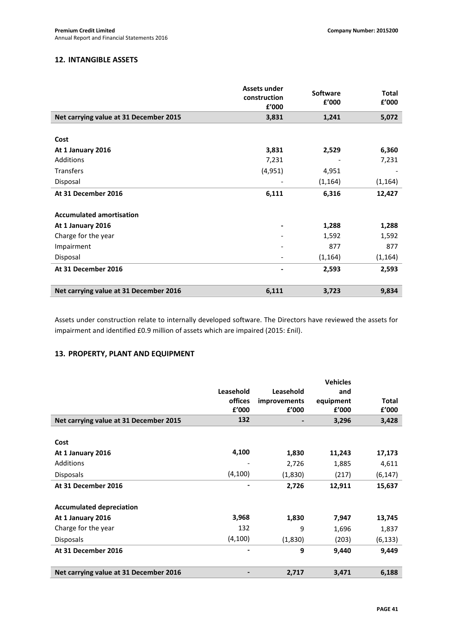### **12. INTANGIBLE ASSETS**

|                                        | <b>Assets under</b><br>construction<br>£'000 | <b>Software</b><br>£'000 | <b>Total</b><br>£'000 |
|----------------------------------------|----------------------------------------------|--------------------------|-----------------------|
| Net carrying value at 31 December 2015 | 3,831                                        | 1,241                    | 5,072                 |
|                                        |                                              |                          |                       |
| Cost                                   |                                              |                          |                       |
| At 1 January 2016                      | 3,831                                        | 2,529                    | 6,360                 |
| Additions                              | 7,231                                        | $\overline{\phantom{a}}$ | 7,231                 |
| <b>Transfers</b>                       | (4, 951)                                     | 4,951                    |                       |
| Disposal                               |                                              | (1, 164)                 | (1, 164)              |
| At 31 December 2016                    | 6,111                                        | 6,316                    | 12,427                |
| <b>Accumulated amortisation</b>        |                                              |                          |                       |
| At 1 January 2016                      | $\qquad \qquad \blacksquare$                 | 1,288                    | 1,288                 |
| Charge for the year                    |                                              | 1,592                    | 1,592                 |
| Impairment                             |                                              | 877                      | 877                   |
| Disposal                               | $\overline{\phantom{a}}$                     | (1, 164)                 | (1, 164)              |
| At 31 December 2016                    | $\blacksquare$                               | 2,593                    | 2,593                 |
| Net carrying value at 31 December 2016 | 6,111                                        | 3,723                    | 9,834                 |

Assets under construction relate to internally developed software. The Directors have reviewed the assets for impairment and identified £0.9 million of assets which are impaired (2015: £nil).

### **13. PROPERTY, PLANT AND EQUIPMENT**

|                                        |           |              | <b>Vehicles</b> |              |
|----------------------------------------|-----------|--------------|-----------------|--------------|
|                                        | Leasehold | Leasehold    | and             |              |
|                                        | offices   | improvements | equipment       | <b>Total</b> |
|                                        | £'000     | f'000        | £'000           | £'000        |
| Net carrying value at 31 December 2015 | 132       |              | 3,296           | 3,428        |
|                                        |           |              |                 |              |
| Cost                                   |           |              |                 |              |
| At 1 January 2016                      | 4,100     | 1,830        | 11,243          | 17,173       |
| Additions                              |           | 2,726        | 1,885           | 4,611        |
| <b>Disposals</b>                       | (4, 100)  | (1,830)      | (217)           | (6, 147)     |
| At 31 December 2016                    | -         | 2,726        | 12,911          | 15,637       |
| <b>Accumulated depreciation</b>        |           |              |                 |              |
| At 1 January 2016                      | 3,968     | 1,830        | 7,947           | 13,745       |
| Charge for the year                    | 132       | 9            | 1,696           | 1,837        |
| <b>Disposals</b>                       | (4, 100)  | (1,830)      | (203)           | (6, 133)     |
| At 31 December 2016                    |           | 9            | 9,440           | 9,449        |
|                                        |           |              |                 |              |
| Net carrying value at 31 December 2016 |           | 2,717        | 3,471           | 6,188        |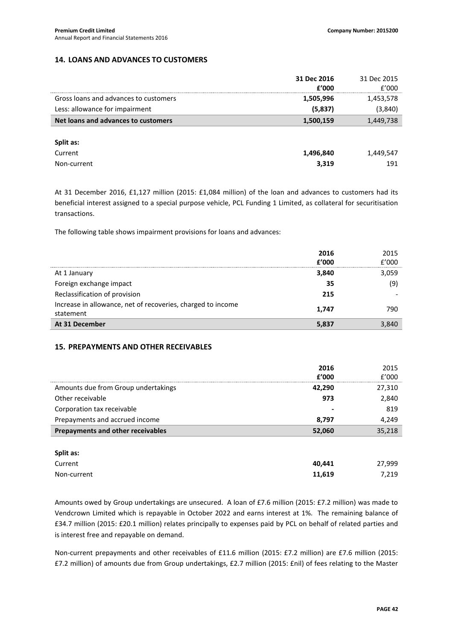### **14. LOANS AND ADVANCES TO CUSTOMERS**

|                                       | 31 Dec 2016 | 31 Dec 2015 |
|---------------------------------------|-------------|-------------|
|                                       | f'000       | f'000       |
| Gross loans and advances to customers | 1,505,996   | 1,453,578   |
| Less: allowance for impairment        | (5,837)     | (3, 840)    |
| Net loans and advances to customers   | 1,500,159   | 1,449,738   |
|                                       |             |             |
| Split as:                             |             |             |
| Current                               | 1,496,840   | 1,449,547   |
| Non-current                           | 3,319       | 191         |

At 31 December 2016, £1,127 million (2015: £1,084 million) of the loan and advances to customers had its beneficial interest assigned to a special purpose vehicle, PCL Funding 1 Limited, as collateral for securitisation transactions.

The following table shows impairment provisions for loans and advances:

|                                                             | 2016  | 2015  |
|-------------------------------------------------------------|-------|-------|
|                                                             | f'000 | f'000 |
| At 1 January                                                | 3,840 | 3,059 |
| Foreign exchange impact                                     | 35    | (9)   |
| Reclassification of provision                               | 215   |       |
| Increase in allowance, net of recoveries, charged to income | 1.747 | 790   |
| statement                                                   |       |       |
| At 31 December                                              | 5,837 | 3,840 |

#### **15. PREPAYMENTS AND OTHER RECEIVABLES**

|                                     | 2016<br>£'000 | 2015<br>f'000 |
|-------------------------------------|---------------|---------------|
| Amounts due from Group undertakings | 42.290        | 27,310        |
| Other receivable                    | 973           | 2,840         |
| Corporation tax receivable          |               | 819           |
| Prepayments and accrued income      | 8.797         | 4,249         |
| Prepayments and other receivables   | 52,060        | 35,218        |
|                                     |               |               |

| Split as:   |        |        |
|-------------|--------|--------|
| Current     | 40.441 | 27,999 |
| Non-current | 11.619 | 7,219  |

Amounts owed by Group undertakings are unsecured. A loan of £7.6 million (2015: £7.2 million) was made to Vendcrown Limited which is repayable in October 2022 and earns interest at 1%. The remaining balance of £34.7 million (2015: £20.1 million) relates principally to expenses paid by PCL on behalf of related parties and is interest free and repayable on demand.

Non-current prepayments and other receivables of £11.6 million (2015: £7.2 million) are £7.6 million (2015: £7.2 million) of amounts due from Group undertakings, £2.7 million (2015: £nil) of fees relating to the Master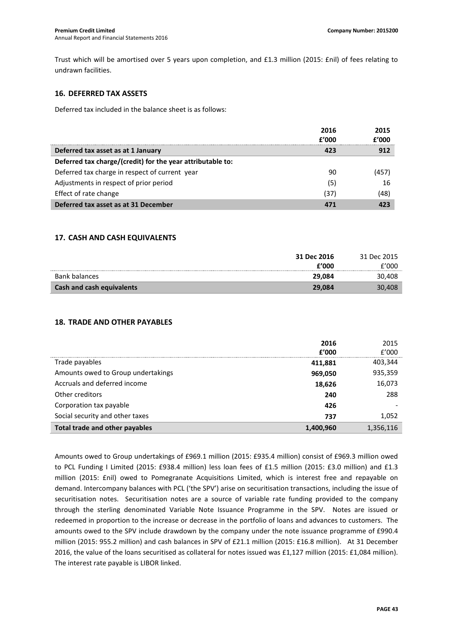Trust which will be amortised over 5 years upon completion, and £1.3 million (2015: £nil) of fees relating to undrawn facilities.

### **16. DEFERRED TAX ASSETS**

Deferred tax included in the balance sheet is as follows:

|                                                            | 2016<br>£'000 | 2015<br>£'000 |
|------------------------------------------------------------|---------------|---------------|
| Deferred tax asset as at 1 January                         | 423           | 912           |
| Deferred tax charge/(credit) for the year attributable to: |               |               |
| Deferred tax charge in respect of current year             | 90            | (457)         |
| Adjustments in respect of prior period                     | (5)           | 16            |
| Effect of rate change                                      | (37)          | (48)          |
| Deferred tax asset as at 31 December                       | 471           | 423           |

### <span id="page-42-1"></span>**17. CASH AND CASH EQUIVALENTS**

|                           | 31 Dec 2016 | 31 Dec 2015 |
|---------------------------|-------------|-------------|
|                           | f'000       | £'000       |
| Bank balances             | 29.084      | 30,408      |
| Cash and cash equivalents | 29.084      | 30,408      |

### <span id="page-42-0"></span>**18. TRADE AND OTHER PAYABLES**

|                                    | 2016      | 2015      |
|------------------------------------|-----------|-----------|
|                                    | f'000     | f'000     |
| Trade payables                     | 411.881   | 403,344   |
| Amounts owed to Group undertakings | 969,050   | 935,359   |
| Accruals and deferred income       | 18,626    | 16,073    |
| Other creditors                    | 240       | 288       |
| Corporation tax payable            | 426       |           |
| Social security and other taxes    | 737       | 1,052     |
| Total trade and other payables     | 1,400,960 | 1,356,116 |

Amounts owed to Group undertakings of £969.1 million (2015: £935.4 million) consist of £969.3 million owed to PCL Funding I Limited (2015: £938.4 million) less loan fees of £1.5 million (2015: £3.0 million) and £1.3 million (2015: £nil) owed to Pomegranate Acquisitions Limited, which is interest free and repayable on demand. Intercompany balances with PCL ('the SPV') arise on securitisation transactions, including the issue of securitisation notes. Securitisation notes are a source of variable rate funding provided to the company through the sterling denominated Variable Note Issuance Programme in the SPV. Notes are issued or redeemed in proportion to the increase or decrease in the portfolio of loans and advances to customers. The amounts owed to the SPV include drawdown by the company under the note issuance programme of £990.4 million (2015: 955.2 million) and cash balances in SPV of £21.1 million (2015: £16.8 million). At 31 December 2016, the value of the loans securitised as collateral for notes issued was £1,127 million (2015: £1,084 million). The interest rate payable is LIBOR linked.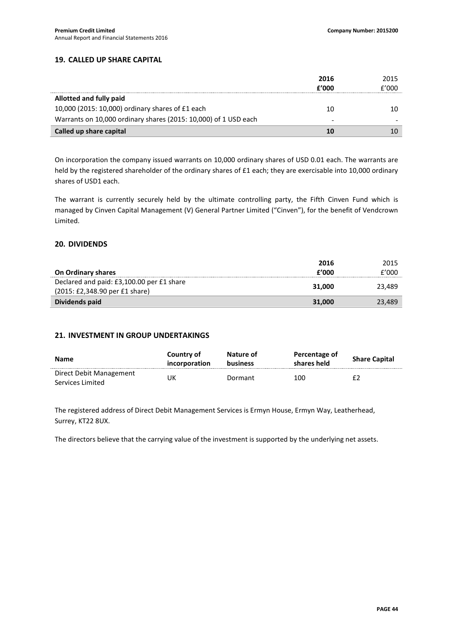#### **19. CALLED UP SHARE CAPITAL**

|                                                                 | 2016  | 2015  |
|-----------------------------------------------------------------|-------|-------|
|                                                                 | f'000 | f'000 |
| Allotted and fully paid                                         |       |       |
| 10,000 (2015: 10,000) ordinary shares of £1 each                | 10    | 10    |
| Warrants on 10,000 ordinary shares (2015: 10,000) of 1 USD each |       |       |
| Called up share capital                                         |       |       |

On incorporation the company issued warrants on 10,000 ordinary shares of USD 0.01 each. The warrants are held by the registered shareholder of the ordinary shares of £1 each; they are exercisable into 10,000 ordinary shares of USD1 each.

The warrant is currently securely held by the ultimate controlling party, the Fifth Cinven Fund which is managed by Cinven Capital Management (V) General Partner Limited ("Cinven"), for the benefit of Vendcrown Limited.

#### <span id="page-43-0"></span>**20. DIVIDENDS**

|                                                         | 2016   | 2015   |
|---------------------------------------------------------|--------|--------|
| <b>On Ordinary shares</b>                               | f'000  | f'000  |
| Declared and paid: £3,100.00 per £1 share               |        |        |
| $(2015: \text{£}2,348.90 \text{ per £}1 \text{ share})$ | 31.000 | 23.489 |
| Dividends paid                                          | 31.000 | 23,489 |

#### **21. INVESTMENT IN GROUP UNDERTAKINGS**

| Name                                        | Country of<br>incorporation | Nature of<br><b>business</b> | Percentage of<br>shares held | <b>Share Capital</b> |
|---------------------------------------------|-----------------------------|------------------------------|------------------------------|----------------------|
| Direct Debit Management<br>Services Limited | JΚ                          | Dormant                      | 100                          |                      |

The registered address of Direct Debit Management Services is Ermyn House, Ermyn Way, Leatherhead, Surrey, KT22 8UX.

The directors believe that the carrying value of the investment is supported by the underlying net assets.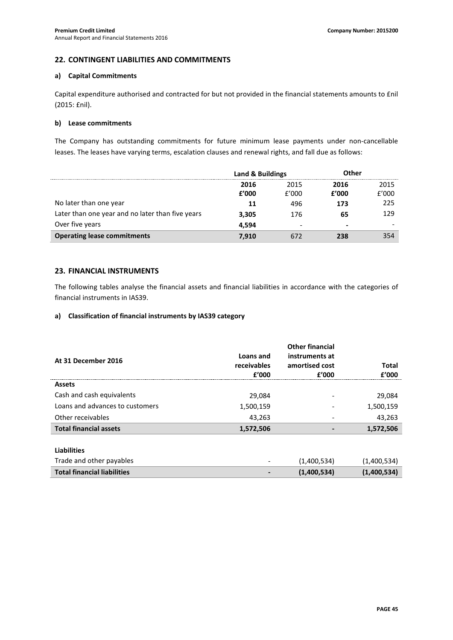### **22. CONTINGENT LIABILITIES AND COMMITMENTS**

#### **a) Capital Commitments**

Capital expenditure authorised and contracted for but not provided in the financial statements amounts to £nil (2015: £nil).

#### **b) Lease commitments**

The Company has outstanding commitments for future minimum lease payments under non-cancellable leases. The leases have varying terms, escalation clauses and renewal rights, and fall due as follows:

|                                                  | Land & Buildings |       | Other                    |       |
|--------------------------------------------------|------------------|-------|--------------------------|-------|
|                                                  | 2016             | 2015  | 2016                     | 2015  |
|                                                  | f'000            | f'000 | f'000                    | f'000 |
| No later than one year                           | 11               | 496   | 173                      | 225   |
| Later than one year and no later than five years | 3,305            | 176   | 65                       | 129   |
| Over five years                                  | 4.594            |       | $\overline{\phantom{0}}$ |       |
| <b>Operating lease commitments</b>               | 7.910            | 672   | 238                      | 354   |

#### **23. FINANCIAL INSTRUMENTS**

The following tables analyse the financial assets and financial liabilities in accordance with the categories of financial instruments in IAS39.

#### **a) Classification of financial instruments by IAS39 category**

| At 31 December 2016                | Loans and<br>receivables<br>f'000 | <b>Other financial</b><br>instruments at<br>amortised cost<br>f'000 | Total<br>f'000 |
|------------------------------------|-----------------------------------|---------------------------------------------------------------------|----------------|
| <b>Assets</b>                      |                                   |                                                                     |                |
| Cash and cash equivalents          | 29,084                            |                                                                     | 29,084         |
| Loans and advances to customers    | 1,500,159                         |                                                                     | 1,500,159      |
| Other receivables                  | 43,263                            |                                                                     | 43,263         |
| <b>Total financial assets</b>      | 1,572,506                         |                                                                     | 1,572,506      |
|                                    |                                   |                                                                     |                |
| <b>Liabilities</b>                 |                                   |                                                                     |                |
| Trade and other payables           |                                   | (1,400,534)                                                         | (1,400,534)    |
| <b>Total financial liabilities</b> |                                   | (1,400,534)                                                         | (1,400,534)    |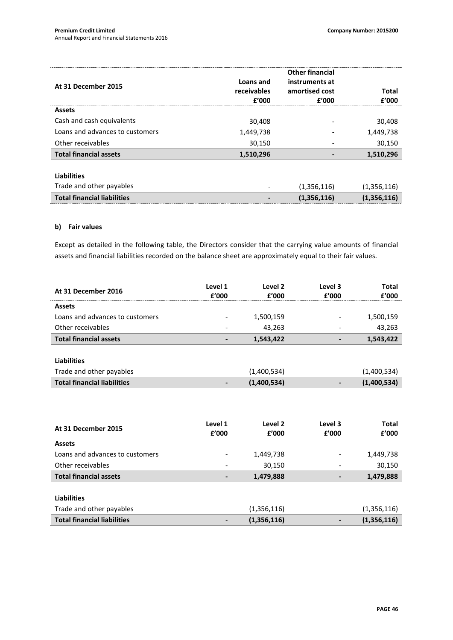| At 31 December 2015                | Loans and<br>receivables<br>f'000 | <b>Other financial</b><br>instruments at<br>amortised cost<br>£'000 | Total<br>£'000 |
|------------------------------------|-----------------------------------|---------------------------------------------------------------------|----------------|
| Assets                             |                                   |                                                                     |                |
| Cash and cash equivalents          | 30,408                            |                                                                     | 30,408         |
| Loans and advances to customers    | 1,449,738                         |                                                                     | 1,449,738      |
| Other receivables                  | 30,150                            |                                                                     | 30,150         |
| <b>Total financial assets</b>      | 1,510,296                         |                                                                     | 1,510,296      |
| <b>Liabilities</b>                 |                                   |                                                                     |                |
| Trade and other payables           |                                   | (1,356,116)                                                         | (1,356,116)    |
| <b>Total financial liabilities</b> |                                   | (1,356,116)                                                         | (1,356,116)    |

#### **b) Fair values**

Except as detailed in the following table, the Directors consider that the carrying value amounts of financial assets and financial liabilities recorded on the balance sheet are approximately equal to their fair values.

| At 31 December 2016                | Level 1<br>f'000 | Level 2<br>f'000 | Level 3<br>f'000 | Total<br>£'000 |
|------------------------------------|------------------|------------------|------------------|----------------|
| <b>Assets</b>                      |                  |                  |                  |                |
| Loans and advances to customers    |                  | 1,500,159        |                  | 1,500,159      |
| Other receivables                  |                  | 43,263           |                  | 43,263         |
| <b>Total financial assets</b>      |                  | 1,543,422        |                  | 1,543,422      |
|                                    |                  |                  |                  |                |
| <b>Liabilities</b>                 |                  |                  |                  |                |
| Trade and other payables           |                  | (1,400,534)      |                  | (1,400,534)    |
| <b>Total financial liabilities</b> |                  | (1,400,534)      |                  | (1,400,534)    |

| At 31 December 2015                | Level 1<br>f'000 | Level 2<br>£'000 | Level 3<br>£'000 | Total<br>£'000 |
|------------------------------------|------------------|------------------|------------------|----------------|
| <b>Assets</b>                      |                  |                  |                  |                |
| Loans and advances to customers    |                  | 1,449,738        |                  | 1,449,738      |
| Other receivables                  |                  | 30,150           |                  | 30,150         |
| <b>Total financial assets</b>      |                  | 1,479,888        |                  | 1,479,888      |
|                                    |                  |                  |                  |                |
| <b>Liabilities</b>                 |                  |                  |                  |                |
| Trade and other payables           |                  | (1,356,116)      |                  | (1,356,116)    |
| <b>Total financial liabilities</b> |                  | (1,356,116)      |                  | (1,356,116)    |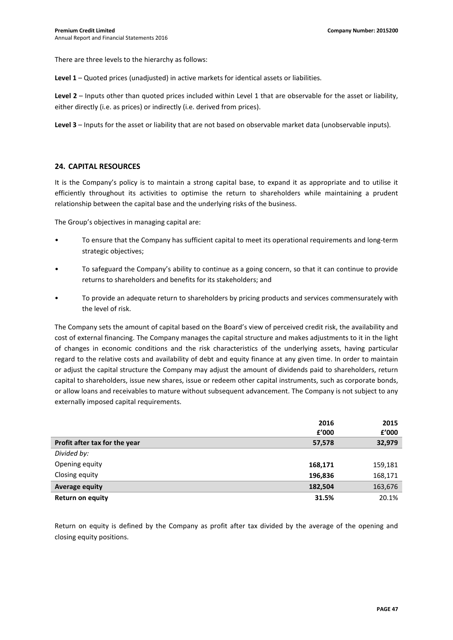There are three levels to the hierarchy as follows:

**Level 1** – Quoted prices (unadjusted) in active markets for identical assets or liabilities.

**Level 2** – Inputs other than quoted prices included within Level 1 that are observable for the asset or liability, either directly (i.e. as prices) or indirectly (i.e. derived from prices).

**Level 3** – Inputs for the asset or liability that are not based on observable market data (unobservable inputs).

#### **24. CAPITAL RESOURCES**

It is the Company's policy is to maintain a strong capital base, to expand it as appropriate and to utilise it efficiently throughout its activities to optimise the return to shareholders while maintaining a prudent relationship between the capital base and the underlying risks of the business.

The Group's objectives in managing capital are:

- To ensure that the Company has sufficient capital to meet its operational requirements and long-term strategic objectives;
- To safeguard the Company's ability to continue as a going concern, so that it can continue to provide returns to shareholders and benefits for its stakeholders; and
- To provide an adequate return to shareholders by pricing products and services commensurately with the level of risk.

The Company sets the amount of capital based on the Board's view of perceived credit risk, the availability and cost of external financing. The Company manages the capital structure and makes adjustments to it in the light of changes in economic conditions and the risk characteristics of the underlying assets, having particular regard to the relative costs and availability of debt and equity finance at any given time. In order to maintain or adjust the capital structure the Company may adjust the amount of dividends paid to shareholders, return capital to shareholders, issue new shares, issue or redeem other capital instruments, such as corporate bonds, or allow loans and receivables to mature without subsequent advancement. The Company is not subject to any externally imposed capital requirements.

|                               | 2016<br>f'000 | 2015<br>£'000 |
|-------------------------------|---------------|---------------|
| Profit after tax for the year | 57,578        | 32,979        |
| Divided by:                   |               |               |
| Opening equity                | 168,171       | 159,181       |
| Closing equity                | 196,836       | 168,171       |
| <b>Average equity</b>         | 182,504       | 163,676       |
| <b>Return on equity</b>       | 31.5%         | 20.1%         |

Return on equity is defined by the Company as profit after tax divided by the average of the opening and closing equity positions.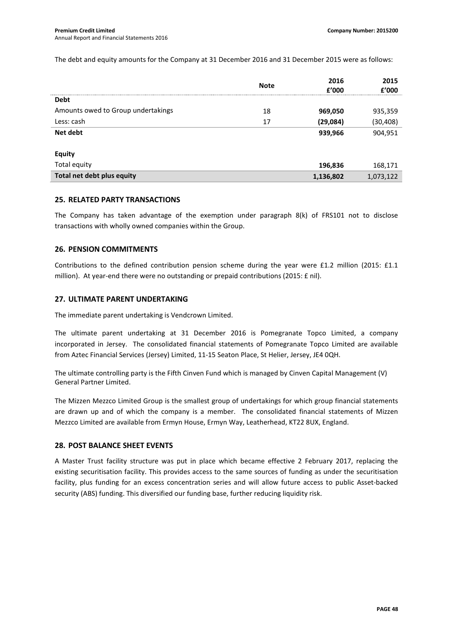The debt and equity amounts for the Company at 31 December 2016 and 31 December 2015 were as follows:

| <b>Note</b> | 2016<br>f'000 | 2015<br>£'000 |
|-------------|---------------|---------------|
|             |               |               |
| 18          | 969,050       | 935,359       |
| 17          | (29, 084)     | (30, 408)     |
|             | 939,966       | 904,951       |
|             |               |               |
|             |               |               |
|             | 196,836       | 168,171       |
|             | 1,136,802     | 1,073,122     |
|             |               |               |

#### **25. RELATED PARTY TRANSACTIONS**

The Company has taken advantage of the exemption under paragraph 8(k) of FRS101 not to disclose transactions with wholly owned companies within the Group.

#### **26. PENSION COMMITMENTS**

Contributions to the defined contribution pension scheme during the year were £1.2 million (2015: £1.1 million). At year-end there were no outstanding or prepaid contributions (2015: £ nil).

#### **27. ULTIMATE PARENT UNDERTAKING**

The immediate parent undertaking is Vendcrown Limited.

The ultimate parent undertaking at 31 December 2016 is Pomegranate Topco Limited, a company incorporated in Jersey. The consolidated financial statements of Pomegranate Topco Limited are available from Aztec Financial Services (Jersey) Limited, 11-15 Seaton Place, St Helier, Jersey, JE4 0QH.

The ultimate controlling party is the Fifth Cinven Fund which is managed by Cinven Capital Management (V) General Partner Limited.

The Mizzen Mezzco Limited Group is the smallest group of undertakings for which group financial statements are drawn up and of which the company is a member. The consolidated financial statements of Mizzen Mezzco Limited are available from Ermyn House, Ermyn Way, Leatherhead, KT22 8UX, England.

#### **28. POST BALANCE SHEET EVENTS**

A Master Trust facility structure was put in place which became effective 2 February 2017, replacing the existing securitisation facility. This provides access to the same sources of funding as under the securitisation facility, plus funding for an excess concentration series and will allow future access to public Asset-backed security (ABS) funding. This diversified our funding base, further reducing liquidity risk.